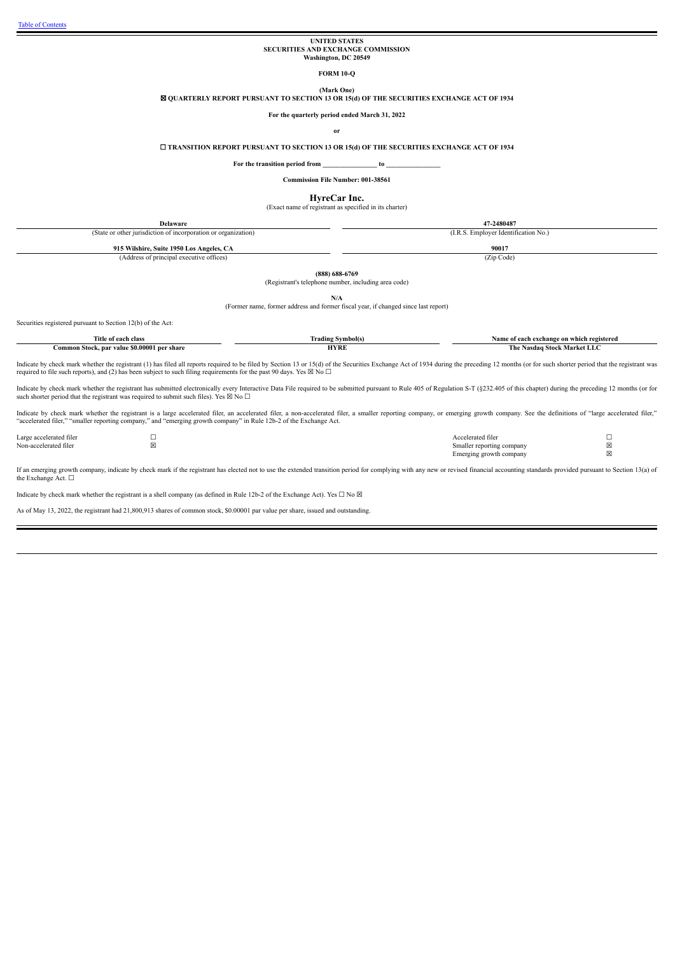#### **UNITED STATES SECURITIES AND EXCHANGE COMMISSION Washington, DC 20549**

**FORM 10-Q**

**(Mark One)** ☒ **QUARTERLY REPORT PURSUANT TO SECTION 13 OR 15(d) OF THE SECURITIES EXCHANGE ACT OF 1934**

**For the quarterly period ended March 31, 2022**

**or**

# ☐ **TRANSITION REPORT PURSUANT TO SECTION 13 OR 15(d) OF THE SECURITIES EXCHANGE ACT OF 1934**

**For the transition period from \_\_\_\_\_\_\_\_\_\_\_\_\_\_\_\_ to \_\_\_\_\_\_\_\_\_\_\_\_\_\_\_\_**

**Commission File Number: 001-38561**

#### **HyreCar Inc.**

(Exact name of registrant as specified in its charter)

**Delaware 47-2480487**<br>
(State or other jurisdiction of incorporation or organization) (I.R.S. Employer Identification No.) **915 Wilshire, Suite 1950 Los Angeles, CA 90017** (Address of principal executive offices) (Zip Code) **(888) 688-6769** (Registrant's telephone number, including area code) **N/A** (Former name, former address and former fiscal year, if changed since last report) Securities registered pursuant to Section 12(b) of the Act: **ck, par value S0.00001** per share **the controller controller in the controller of** *each* **<b>class 117ading Symbol(s) Name** of each exchange on which registered **exchange on https://www.frageemerater.com CO EXE Common Stock, par value \$0.00001 per share There IFFINE** Indicate by check mark whether the registrant (1) has filed all reports required to be filed by Section 13 or 15(d) of the Securities Exchange Act of 1934 during the preceding 12 months (or for such shorter period that th

Indicate by check mark whether the registrant has submitted electronically every Interactive Data File required to be submitted pursuant to Rule 405 of Regulation S-T (§232.405 of this chapter) during the preceding 12 mont such shorter period that the registrant was required to submit such files). Yes  $\boxtimes$  No  $\Box$ 

Indicate by check mark whether the registrant is a large accelerated filer, an accelerated filer, a non-accelerated filer, a smaller reporting company, or emerging growth company. See the definitions of "large accelerated "accelerated filer," "smaller reporting company," and "emerging growth company" in Rule 12b-2 of the Exchange Act.

| Large accelerated filer<br>Non-accelerated filer | ×                                                                                                                                                                                                                              | Accelerated filer<br>Smaller reporting company<br>Emerging growth company |  |
|--------------------------------------------------|--------------------------------------------------------------------------------------------------------------------------------------------------------------------------------------------------------------------------------|---------------------------------------------------------------------------|--|
| the Exchange Act. $\square$                      | If an emerging growth company, indicate by check mark if the registrant has elected not to use the extended transition period for complying with any new or revised financial accounting standards provided pursuant to Sectio |                                                                           |  |
|                                                  | Indicate by check mark whether the registrant is a shell company (as defined in Rule 12b-2 of the Exchange Act). Yes $\Box$ No $\boxtimes$                                                                                     |                                                                           |  |

As of May 13, 2022, the registrant had 21,800,913 shares of common stock, \$0.00001 par value per share, issued and outstanding.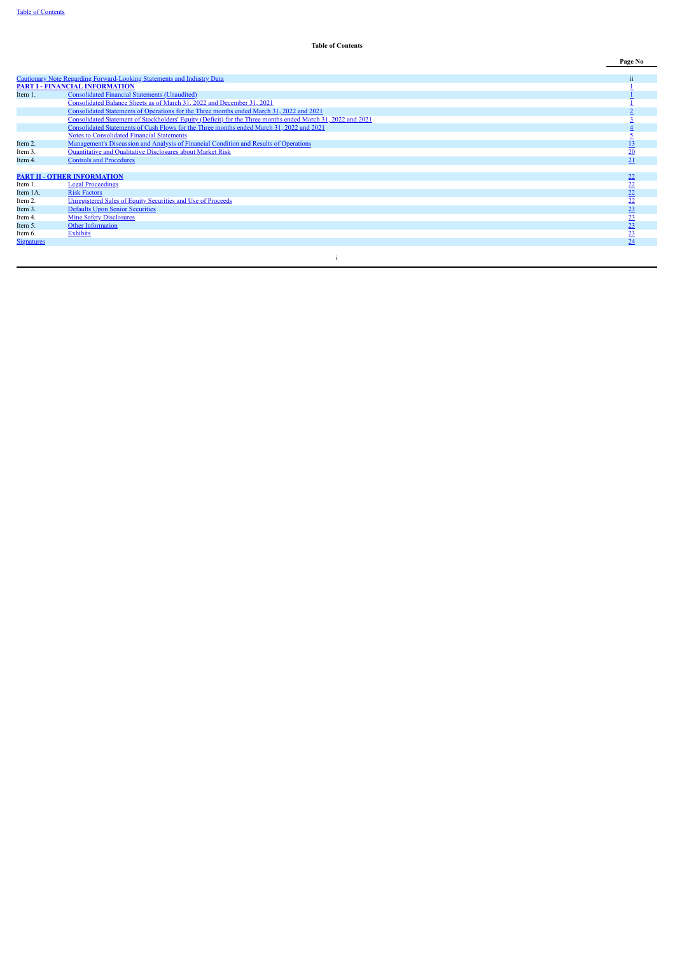# **Table of Contents**

<span id="page-1-0"></span>

|                   |                                                                                                             | Page No         |
|-------------------|-------------------------------------------------------------------------------------------------------------|-----------------|
|                   | Cautionary Note Regarding Forward-Looking Statements and Industry Data                                      | $\mathbf{ii}$   |
|                   | <b>PART I - FINANCIAL INFORMATION</b>                                                                       |                 |
| Item 1.           | <b>Consolidated Financial Statements (Unaudited)</b>                                                        |                 |
|                   | Consolidated Balance Sheets as of March 31, 2022 and December 31, 2021                                      |                 |
|                   | Consolidated Statements of Operations for the Three months ended March 31, 2022 and 2021                    |                 |
|                   | Consolidated Statement of Stockholders' Equity (Deficit) for the Three months ended March 31, 2022 and 2021 |                 |
|                   | Consolidated Statements of Cash Flows for the Three months ended March 31, 2022 and 2021                    |                 |
|                   | <b>Notes to Consolidated Financial Statements</b>                                                           |                 |
| Item 2.           | Management's Discussion and Analysis of Financial Condition and Results of Operations                       | 13              |
| Item 3.           | Quantitative and Qualitative Disclosures about Market Risk                                                  | $\overline{20}$ |
| Item 4.           | <b>Controls and Procedures</b>                                                                              | 21              |
|                   |                                                                                                             |                 |
|                   | <b>PART II - OTHER INFORMATION</b>                                                                          | 22              |
| Item 1.           | <b>Legal Proceedings</b>                                                                                    | 22              |
| Item 1A.          | <b>Risk Factors</b>                                                                                         | 22              |
| Item 2.           | <b>Unregistered Sales of Equity Securities and Use of Proceeds</b>                                          | 22              |
| Item 3.           | <b>Defaults Upon Senior Securities</b>                                                                      | 23              |
| Item 4.           | <b>Mine Safety Disclosures</b>                                                                              | 23              |
| Item 5.           | Other Information                                                                                           | 23              |
| Item 6.           | <b>Exhibits</b>                                                                                             | 23              |
| <b>Signatures</b> |                                                                                                             | 24              |
|                   |                                                                                                             |                 |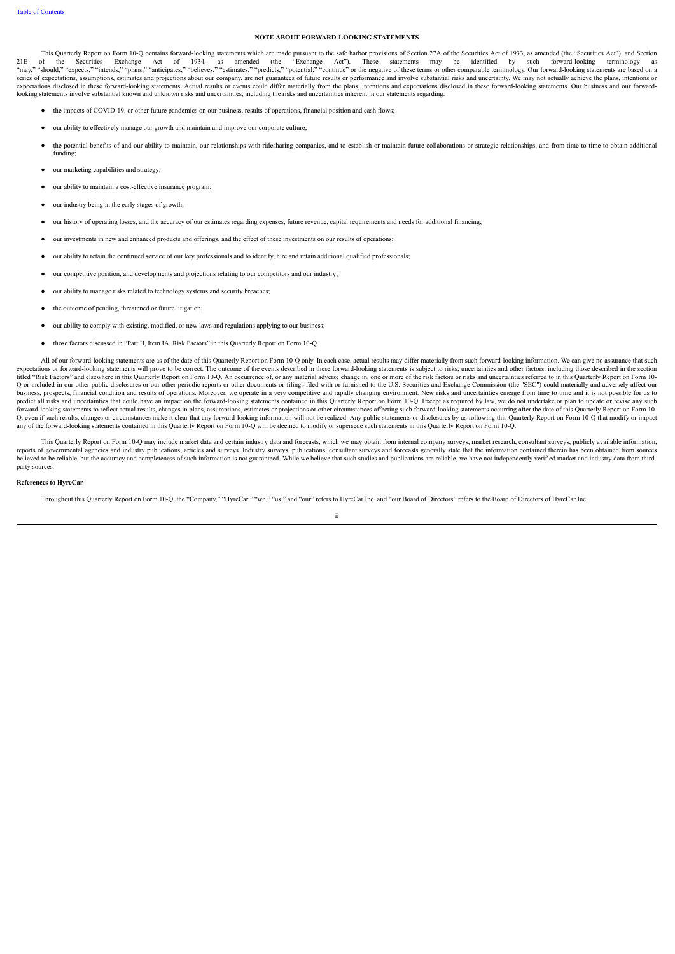#### **NOTE ABOUT FORWARD-LOOKING STATEMENTS**

<span id="page-2-0"></span>This Quarterly Report on Form 10-Q contains forward-looking statements which are made pursuant to the safe harbor provisions of Section 27A of the Securities Act of 1933, as amended (the "Securities Act"), and Section 21E series of expectations, assumptions, estimates and projections about our company, are not guarantees of future results or performance and involve substantial risks and uncertainty. We may not actually achieve the plans, in looking statements involve substantial known and unknown risks and uncertainties, including the risks and uncertainties inherent in our statements regarding:

- the impacts of COVID-19, or other future pandemics on our business, results of operations, financial position and cash flows;
- our ability to effectively manage our growth and maintain and improve our corporate culture;
- the potential benefits of and our ability to maintain, our relationships with ridesharing companies, and to establish or maintain future collaborations or strategic relationships, and from time to time to time to obtain ad funding;
- our marketing capabilities and strategy;
- our ability to maintain a cost-effective insurance program;
- our industry being in the early stages of growth;
- our history of operating losses, and the accuracy of our estimates regarding expenses, future revenue, capital requirements and needs for additional financing;
- our investments in new and enhanced products and offerings, and the effect of these investments on our results of operations;
- our ability to retain the continued service of our key professionals and to identify, hire and retain additional qualified professionals;
- our competitive position, and developments and projections relating to our competitors and our industry;
- our ability to manage risks related to technology systems and security breaches;
- the outcome of pending, threatened or future litigation;
- our ability to comply with existing, modified, or new laws and regulations applying to our business;
- those factors discussed in "Part II, Item IA. Risk Factors" in this Quarterly Report on Form 10-Q.

All of our forward-looking statements are as of the date of this Quarterly Report on Form 10-Q only In each case, actual results may differ materially from such forward-looking information. We can give no assurance that su expectations or forward-looking statements will prove to be correct. The outcome of the events described in these forward-looking statements is subject to risks, uncertainties and other factors, including those described i titled "Risk Factors" and elsewhere in this Quarterly Report on Form 10-Q. An occurrence of, or any material adverse change in, one or more of the risk factors or risks and uncertainties referred to in this Quarterly Repor business, prospects, financial condition and results of operations. Moreover, we operate in a very competitive and rapidly changing environment. New risks and uncertainties emerge from time to time and it is not possible f forward-looking statements to reflect actual results, changes in plans, assumptions, estimates or projections or other circumstances affecting such forward-looking statements occurring after the date of this Quarterly Repo any of the forward-looking statements contained in this Quarterly Report on Form 10-Q will be deemed to modify or supersede such statements in this Quarterly Report on Form 10-Q.

This Quarterly Report on Form 10-Q may include market data and certain industry data and forecasts, which we may obtain from internal company surveys, market research, consultant surveys, publicly available information, reports of governmental agencies and industry publications, articles and surveys. Industry surveys, publications, consultant surveys and forecasts generally state that the information contained therein has been obtained fr party sources.

# **References to HyreCar**

Throughout this Quarterly Report on Form 10-Q, the "Company," "HyreCar," "we," "us," and "our" refers to HyreCar Inc. and "our Board of Directors" refers to the Board of Directors of HyreCar Inc.

ii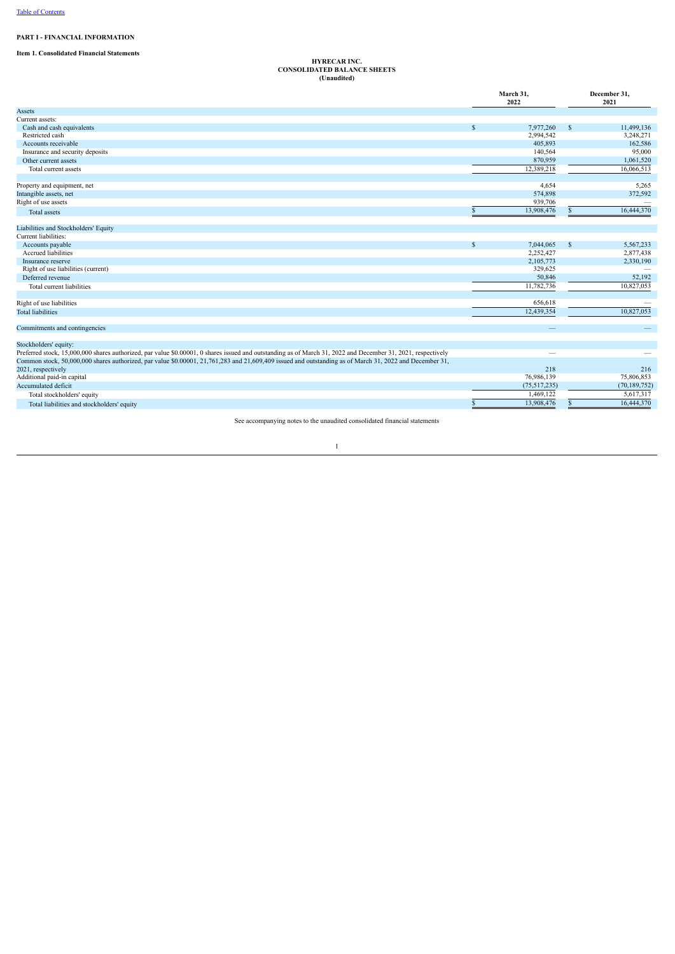# <span id="page-3-0"></span>**PART I - FINANCIAL INFORMATION**

<span id="page-3-2"></span><span id="page-3-1"></span>**Item 1. Consolidated Financial Statements**

# **HYRECAR INC. CONSOLIDATED BALANCE SHEETS (Unaudited)**

|                                                                                                                                                              | March 31,<br>2022 |              | December 31,<br>2021 |  |
|--------------------------------------------------------------------------------------------------------------------------------------------------------------|-------------------|--------------|----------------------|--|
| Assets                                                                                                                                                       |                   |              |                      |  |
| Current assets:                                                                                                                                              |                   |              |                      |  |
| Cash and cash equivalents                                                                                                                                    | \$<br>7,977,260   | $\mathbb{S}$ | 11,499,136           |  |
| Restricted cash                                                                                                                                              | 2,994,542         |              | 3,248,271            |  |
| Accounts receivable                                                                                                                                          | 405,893           |              | 162,586              |  |
| Insurance and security deposits                                                                                                                              | 140,564           |              | 95,000               |  |
| Other current assets                                                                                                                                         | 870,959           |              | 1,061,520            |  |
| Total current assets                                                                                                                                         | 12,389,218        |              | 16,066,513           |  |
| Property and equipment, net                                                                                                                                  | 4,654             |              | 5,265                |  |
| Intangible assets, net                                                                                                                                       | 574,898           |              | 372,592              |  |
| Right of use assets                                                                                                                                          | 939,706           |              |                      |  |
| Total assets                                                                                                                                                 | 13,908,476        | S.           | 16,444,370           |  |
| Liabilities and Stockholders' Equity<br>Current liabilities:                                                                                                 |                   |              |                      |  |
| Accounts payable                                                                                                                                             | \$<br>7,044,065   | $\mathbf{s}$ | 5,567,233            |  |
| Accrued liabilities                                                                                                                                          | 2,252,427         |              | 2,877,438            |  |
| Insurance reserve                                                                                                                                            | 2,105,773         |              | 2,330,190            |  |
| Right of use liabilities (current)                                                                                                                           | 329,625           |              |                      |  |
| Deferred revenue                                                                                                                                             | 50,846            |              | 52,192               |  |
| Total current liabilities                                                                                                                                    | 11,782,736        |              | 10,827,053           |  |
| Right of use liabilities                                                                                                                                     | 656,618           |              |                      |  |
| <b>Total liabilities</b>                                                                                                                                     | 12,439,354        |              | 10,827,053           |  |
| Commitments and contingencies                                                                                                                                |                   |              |                      |  |
| Stockholders' equity:                                                                                                                                        |                   |              |                      |  |
| Preferred stock, 15,000,000 shares authorized, par value \$0.00001, 0 shares issued and outstanding as of March 31, 2022 and December 31, 2021, respectively | -                 |              |                      |  |
| Common stock, 50,000,000 shares authorized, par value \$0.00001, 21,761,283 and 21,609,409 issued and outstanding as of March 31, 2022 and December 31,      |                   |              |                      |  |
| 2021, respectively                                                                                                                                           | 218               |              | 216                  |  |
| Additional paid-in capital                                                                                                                                   | 76,986,139        |              | 75,806,853           |  |
| Accumulated deficit                                                                                                                                          | (75, 517, 235)    |              | (70, 189, 752)       |  |
| Total stockholders' equity                                                                                                                                   | 1,469,122         |              | 5,617,317            |  |
| Total liabilities and stockholders' equity                                                                                                                   | 13,908,476        |              | 16.444.370           |  |

See accompanying notes to the unaudited consolidated financial statements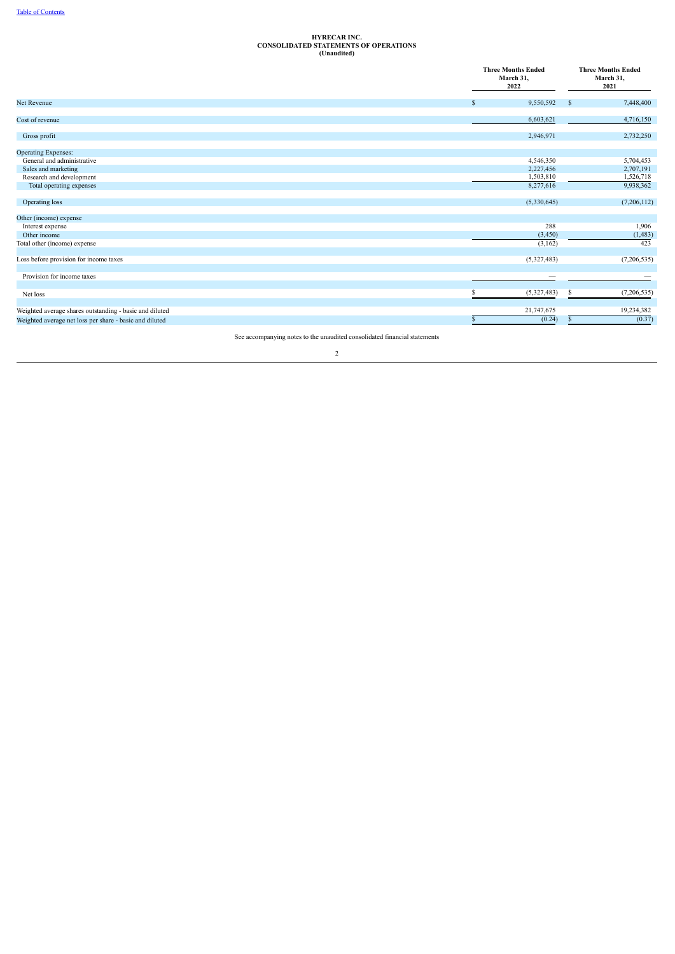# **HYRECAR INC. CONSOLIDATED STATEMENTS OF OPERATIONS (Unaudited)**

<span id="page-4-0"></span>

|                                                         | <b>Three Months Ended</b><br>March 31,<br>2022 | <b>Three Months Ended</b><br>March 31,<br>2021 |
|---------------------------------------------------------|------------------------------------------------|------------------------------------------------|
| <b>Net Revenue</b>                                      | 9,550,592<br>S                                 | 7,448,400<br><sup>\$</sup>                     |
| Cost of revenue                                         | 6,603,621                                      | 4,716,150                                      |
| Gross profit                                            | 2,946,971                                      | 2,732,250                                      |
| <b>Operating Expenses:</b>                              |                                                |                                                |
| General and administrative                              | 4,546,350                                      | 5,704,453                                      |
| Sales and marketing                                     | 2,227,456                                      | 2,707,191                                      |
| Research and development                                | 1,503,810                                      | 1,526,718                                      |
| Total operating expenses                                | 8,277,616                                      | 9,938,362                                      |
| Operating loss                                          | (5,330,645)                                    | (7,206,112)                                    |
| Other (income) expense                                  |                                                |                                                |
| Interest expense                                        | 288                                            | 1,906                                          |
| Other income                                            | (3, 450)                                       | (1, 483)                                       |
| Total other (income) expense                            | (3,162)                                        | 423                                            |
| Loss before provision for income taxes                  | (5,327,483)                                    | (7,206,535)                                    |
| Provision for income taxes                              |                                                |                                                |
| Net loss                                                | (5,327,483)                                    | (7,206,535)<br>S                               |
| Weighted average shares outstanding - basic and diluted | 21,747,675                                     | 19,234,382                                     |
| Weighted average net loss per share - basic and diluted | (0.24)                                         | (0.37)                                         |

See accompanying notes to the unaudited consolidated financial statements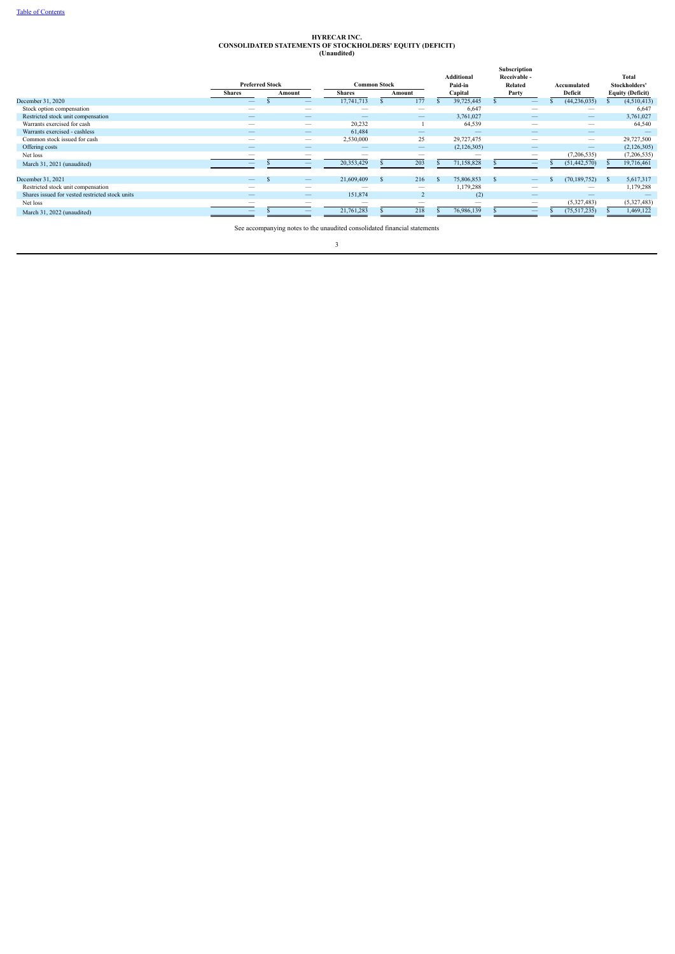# **HYRECAR INC. CONSOLIDATED STATEMENTS OF STOCKHOLDERS' EQUITY (DEFICIT) (Unaudited)**

<span id="page-5-0"></span>

|                                                 |                          | <b>Preferred Stock</b>   |                          | <b>Common Stock</b>      | <b>Additional</b><br>Paid-in | Subscription<br>Receivable -<br><b>Related</b> | Accumulated              | <b>Total</b><br>Stockholders' |
|-------------------------------------------------|--------------------------|--------------------------|--------------------------|--------------------------|------------------------------|------------------------------------------------|--------------------------|-------------------------------|
|                                                 | <b>Shares</b>            | Amount                   | <b>Shares</b>            | Amount                   | Capital                      | Party                                          | Deficit                  | <b>Equity (Deficit)</b>       |
| December 31, 2020                               |                          |                          | 17,741,713               | 77                       | 39,725,445                   |                                                | (44, 236, 035)           | (4,510,413)                   |
| Stock option compensation                       |                          | $-$                      | $\overline{\phantom{0}}$ |                          | 6,647                        | —                                              |                          | 6,647                         |
| Restricted stock unit compensation              |                          | $\overline{\phantom{0}}$ | $\qquad \qquad -$        |                          | 3,761,027                    |                                                | $\overline{\phantom{0}}$ | 3,761,027                     |
| Warrants exercised for cash                     | $-$                      | $-$                      | 20,232                   |                          | 64,539                       | —                                              |                          | 64,540                        |
| Warrants exercised - cashless                   |                          | $\overline{\phantom{0}}$ | 61,484                   | —                        |                              |                                                | $\overline{\phantom{0}}$ |                               |
| Common stock issued for cash                    | $-$                      |                          | 2,530,000                | 25                       | 29,727,475                   | —                                              |                          | 29,727,500                    |
| Offering costs                                  | $\overline{\phantom{a}}$ | –                        | $\overline{\phantom{0}}$ | $\overline{\phantom{0}}$ | (2,126,305)                  |                                                |                          | (2,126,305)                   |
| Net loss                                        | $\overline{\phantom{a}}$ | —                        |                          |                          |                              |                                                | (7,206,535)              | (7,206,535)                   |
| March 31, 2021 (unaudited)                      |                          |                          | 20,353,429               | 203                      | 71,158,828                   | –                                              | (51, 442, 570)           | 19,716,461                    |
| December 31, 2021                               |                          |                          | 21,609,409               | 216<br><b>S</b>          | 75,806,853<br>-8             | - \$                                           | (70, 189, 752)           | 5,617,317<br>-8               |
| Restricted stock unit compensation              |                          | $-$                      |                          | —                        | 1,179,288                    |                                                |                          | 1,179,288                     |
| Shares issued for vested restricted stock units |                          | $\overline{\phantom{0}}$ | 151,874                  | $\sim$                   | (2)                          | $\qquad \qquad -$                              | $\overline{\phantom{0}}$ | $\sim$                        |
| Net loss                                        |                          |                          |                          |                          |                              | —                                              | (5,327,483)              | (5,327,483)                   |
| March 31, 2022 (unaudited)                      |                          |                          | 21,761,283               | 218                      | 76,986,139                   |                                                | (75,517,235)             | 1,469,122                     |

See accompanying notes to the unaudited consolidated financial statements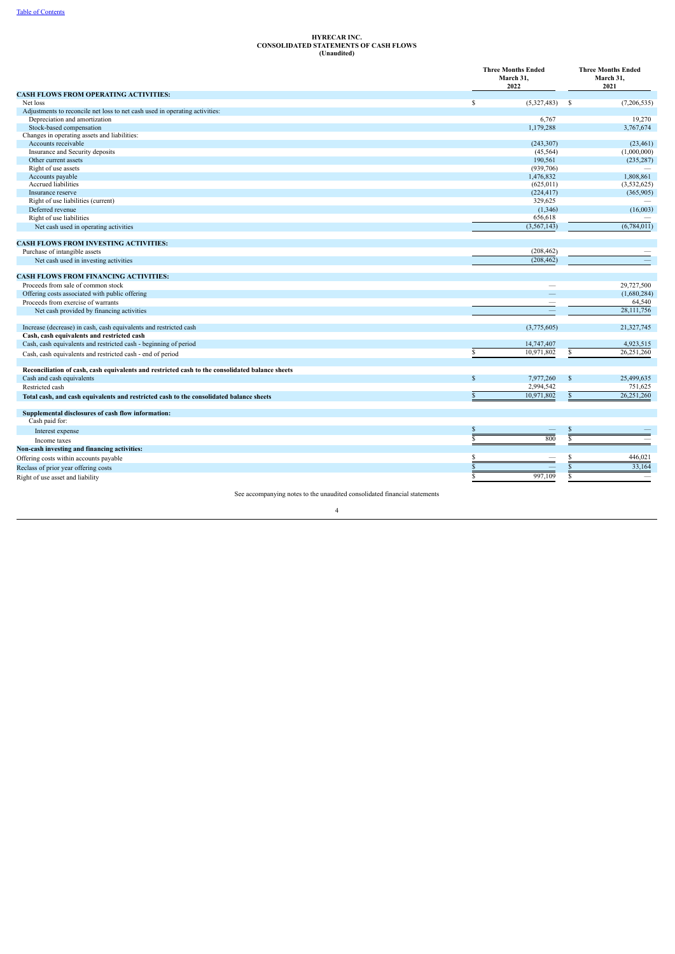# **HYRECAR INC. CONSOLIDATED STATEMENTS OF CASH FLOWS (Unaudited)**

<span id="page-6-0"></span>

|                                                                                                 |              | <b>Three Months Ended</b><br>March 31,<br>2022 | <b>Three Months Ended</b><br>March 31,<br>2021 |  |
|-------------------------------------------------------------------------------------------------|--------------|------------------------------------------------|------------------------------------------------|--|
| <b>CASH FLOWS FROM OPERATING ACTIVITIES:</b>                                                    |              |                                                |                                                |  |
| Net loss                                                                                        | \$           | (5,327,483)<br>-S                              | (7,206,535)                                    |  |
| Adjustments to reconcile net loss to net cash used in operating activities:                     |              |                                                |                                                |  |
| Depreciation and amortization                                                                   |              | 6,767                                          | 19,270                                         |  |
| Stock-based compensation                                                                        |              | 1,179,288                                      | 3,767,674                                      |  |
| Changes in operating assets and liabilities:                                                    |              |                                                |                                                |  |
| Accounts receivable                                                                             |              | (243, 307)                                     | (23, 461)                                      |  |
| Insurance and Security deposits                                                                 |              | (45, 564)                                      | (1,000,000)                                    |  |
| Other current assets                                                                            |              | 190,561                                        | (235, 287)                                     |  |
| Right of use assets                                                                             |              | (939,706)                                      |                                                |  |
| Accounts payable                                                                                |              | 1,476,832                                      | 1,808,861                                      |  |
| <b>Accrued liabilities</b>                                                                      |              | (625, 011)                                     | (3,532,625)                                    |  |
| Insurance reserve                                                                               |              | (224, 417)                                     | (365,905)                                      |  |
| Right of use liabilities (current)                                                              |              | 329,625                                        |                                                |  |
| Deferred revenue                                                                                |              | (1,346)                                        | (16,003)                                       |  |
| Right of use liabilities                                                                        |              | 656,618                                        |                                                |  |
| Net cash used in operating activities                                                           |              | (3, 567, 143)                                  | (6,784,011)                                    |  |
| <b>CASH FLOWS FROM INVESTING ACTIVITIES:</b>                                                    |              |                                                |                                                |  |
| Purchase of intangible assets                                                                   |              | (208, 462)                                     |                                                |  |
| Net cash used in investing activities                                                           |              | (208, 462)                                     |                                                |  |
| <b>CASH FLOWS FROM FINANCING ACTIVITIES:</b>                                                    |              |                                                |                                                |  |
| Proceeds from sale of common stock                                                              |              |                                                | 29,727,500                                     |  |
| Offering costs associated with public offering                                                  |              |                                                | (1,680,284)                                    |  |
| Proceeds from exercise of warrants                                                              |              |                                                | 64,540                                         |  |
| Net cash provided by financing activities                                                       |              |                                                | 28,111,756                                     |  |
|                                                                                                 |              |                                                |                                                |  |
| Increase (decrease) in cash, cash equivalents and restricted cash                               |              | (3,775,605)                                    | 21,327,745                                     |  |
| Cash, cash equivalents and restricted cash                                                      |              |                                                |                                                |  |
| Cash, cash equivalents and restricted cash - beginning of period                                |              | 14,747,407                                     | 4,923,515                                      |  |
| Cash, cash equivalents and restricted cash - end of period                                      |              | 10,971,802<br>S                                | 26,251,260                                     |  |
|                                                                                                 |              |                                                |                                                |  |
| Reconciliation of cash, cash equivalents and restricted cash to the consolidated balance sheets |              |                                                |                                                |  |
| Cash and cash equivalents                                                                       | $\mathbb{S}$ | $\mathbf{\hat{s}}$<br>7,977,260                | 25,499,635                                     |  |
| Restricted cash                                                                                 |              | 2,994,542                                      | 751.625                                        |  |
| Total cash, and cash equivalents and restricted cash to the consolidated balance sheets         | \$           | 10,971,802<br>$\mathcal{S}$                    | 26,251,260                                     |  |
|                                                                                                 |              |                                                |                                                |  |
| Supplemental disclosures of cash flow information:<br>Cash paid for:                            |              |                                                |                                                |  |
| Interest expense                                                                                | S            | <sup>\$</sup><br>-                             |                                                |  |
| Income taxes                                                                                    |              | 800<br>\$                                      |                                                |  |
| Non-cash investing and financing activities:                                                    |              |                                                |                                                |  |
| Offering costs within accounts payable                                                          |              |                                                | 446,021                                        |  |
| Reclass of prior year offering costs                                                            |              |                                                | 33,164                                         |  |
| Right of use asset and liability                                                                |              | 997,109                                        |                                                |  |
|                                                                                                 |              |                                                |                                                |  |
| See accompanying notes to the unaudited consolidated financial statements                       |              |                                                |                                                |  |

See accompanying notes to the unaudited consolidated financial statements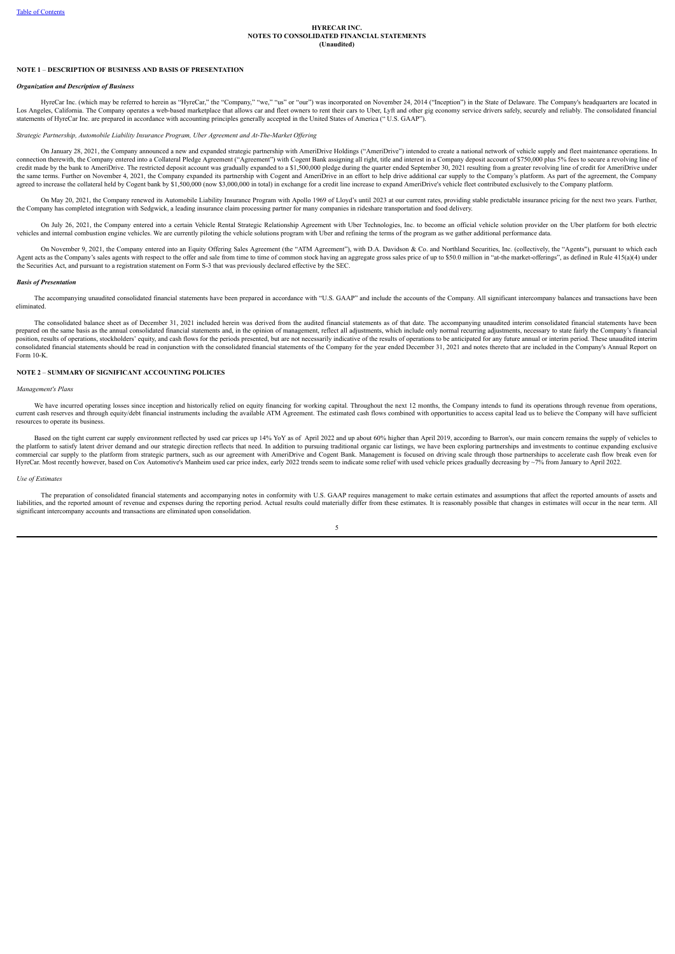# <span id="page-7-0"></span>**NOTE 1** – **DESCRIPTION OF BUSINESS AND BASIS OF PRESENTATION**

# *Organization and Description of Business*

HyreCar Inc. (which may be referred to herein as "HyreCar," the "Company," "we," "us" or "our") was incorporated on November 24, 2014 ("Inception") in the State of Delaware. The Company's headquarters are located in Los Angeles, California. The Company operates a web-based marketplace that allows car and fleet owners to rent their cars to Uber, Lyft and other gig economy service drivers safely, securely and reliably. The consolidated statements of HyreCar Inc. are prepared in accordance with accounting principles generally accepted in the United States of America (" U.S. GAAP").

*Strategic Partnership, Automobile Liability Insurance Program, Uber Agreement and At-The-Market Of ering*

On January 28, 2021, the Company announced a new and expanded strategic partnership with AmeriDrive Holdings ("AmeriDrive") intended to create a national network of vehicle supply and fleet maintenance operations. In connection therewith, the Company entered into a Collateral Pledge Agreement ("Agreement") with Cogent Bank assigning all right, title and interest in a Company deposit account of \$750,000 plus 5% fees to secure a revolvin the same terms. Further on November 4, 2021, the Company expanded its partnership with Cogent and AmeriDrive in an effort to help drive additional car supply to the Company's platform. As part of the agreement, the Company agreed to increase the collateral held by Cogent bank by \$1,500,000 (now \$3,000,000 in total) in exchange for a credit line increase to expand AmeriDrive's vehicle fleet contributed exclusively to the Company platform.

On May 20, 2021, the Company renewed its Automobile Liability Insurance Program with Apollo 1969 of Lloyd's until 2023 at our current rates, providing stable predictable insurance pricing for the next two years. Further, the Company has completed integration with Sedgwick, a leading insurance claim processing partner for many companies in rideshare transportation and food delivery.

On July 26, 2021, the Company entered into a certain Vehicle Rental Strategic Relationship Agreement with Uber Technologies, Inc. to become an official vehicle solution provider on the Uber platform for both electric vehicles and internal combustion engine vehicles. We are currently piloting the vehicle solutions program with Uber and refining the terms of the program as we gather additional performance data.

On November 9, 2021, the Company entered into an Equity Offering Sales Agreement (the "ATM Agreement"), with D.A. Davidson & Co. and Northland Securities, Inc. (collectively, the "Agents"), pursuant to which each Agent acts as the Company's sales agents with respect to the offer and sale from time to time of common stock having an aggregate gross sales price of up to \$50.0 million in "at-the market-offerings", as defined in Rule 41 the Securities Act, and pursuant to a registration statement on Form S-3 that was previously declared effective by the SEC.

# *Basis of Presentation*

The accompanying unaudited consolidated financial statements have been prepared in accordance with "U.S. GAAP" and include the accounts of the Company. All significant intercompany balances and transactions have been eliminated.

The consolidated balance sheet as of December 31, 2021 included herein was derived from the audited financial statements as of that date. The accompanying unaudited interim consolidated financial statements have been prepa position, results of operations, stockholders' equity, and cash flows for the periods presented, but are not necessarily indicative of the results of operations to be anticipated for any future annual or interim period. Th Form 10-K.

#### **NOTE 2** – **SUMMARY OF SIGNIFICANT ACCOUNTING POLICIES**

*Management's Plans*

We have incurred operating losses since inception and historically relied on equity financing for working capital. Throughout the next 12 months, the Company intends to fund its operations through revenue from operations, current cash reserves and through equity/debt financial instruments including the available ATM Agreement. The estimated cash flows combined with opportunities to access capital lead us to believe the Company will have suf resources to operate its business.

Based on the tight current car supply environment reflected by used car prices up 14% YoY as of April 2022 and up about 60% higher than April 2019, according to Barron's, our main concern remains the supply of vehicles to the platform to satisfy latent driver demand and our strategic direction reflects that need. In addition to pursuing traditional organic car listings, we have been exploring partnerships and investments to continue expandi commercial car supply to the platform from strategic partners, such as our agreement with AmeriDrive and Cogent Bank. Management is focused on driving scale through those partnerships to accelerate cash flow break even for HyreCar. Most recently however, based on Cox Automotive's Manheim used car price index, early 2022 trends seem to indicate some relief with used vehicle prices gradually decreasing by ~7% from January to April 2022.

#### *Use of Estimates*

The preparation of consolidated financial statements and accompanying notes in conformity with U.S. GAAP requires management to make certain estimates and assumptions that affect the reported amounts of assets and ilabilit significant intercompany accounts and transactions are eliminated upon consolidation.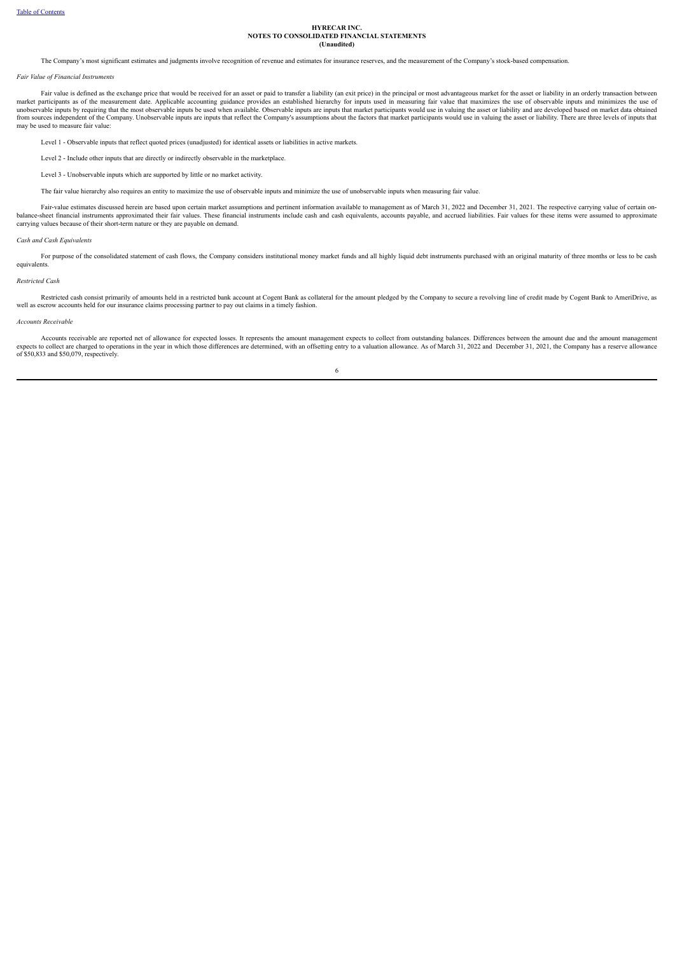The Company's most significant estimates and judgments involve recognition of revenue and estimates for insurance reserves, and the measurement of the Company's stock-based compensation.

# *Fair Value of Financial Instruments*

Fair value is defined as the exchange price that would be received for an asset or paid to transfer a liability (an exit price) in the principal or most advantageous market for the asset or liability in an orderly transact unobservable inputs by requiring that the most observable inputs be used when available. Observable inputs are inputs that market participants would use in valuing the asset or liability and are developed based on market d may be used to measure fair value:

Level 1 - Observable inputs that reflect quoted prices (unadjusted) for identical assets or liabilities in active markets.

Level 2 - Include other inputs that are directly or indirectly observable in the marketplace.

Level 3 - Unobservable inputs which are supported by little or no market activity.

The fair value hierarchy also requires an entity to maximize the use of observable inputs and minimize the use of unobservable inputs when measuring fair value.

Fair-value estimates discussed herein are based upon certain market assumptions and pertinent information available to management as of March 31, 2022 and December 31, 2021. The respective carrying value of certain onbalance-sheet financial instruments approximated their fair values. These financial instruments include cash and cash equivalents, accounts payable, and accrued liabilities. Fair values for these items were assumed to appr

#### *Cash and Cash Equivalents*

For purpose of the consolidated statement of cash flows, the Company considers institutional money market funds and all highly liquid debt instruments purchased with an original maturity of three months or less to be cash equivalents.

# *Restricted Cash*

Restricted cash consist primarily of amounts held in a restricted bank account at Cogent Bank as collateral for the amount pledged by the Company to secure a revolving line of credit made by Cogent Bank to AmeriDrive, as well as escrow accounts held for our insurance claims processing partner to pay out claims in a timely fashion.

# *Accounts Receivable*

Accounts receivable are reported net of allowance for expected losses. It represents the amount management expects to collect from outstanding balances. Differences between the amount due and the amount management expects of \$50,833 and \$50,079, respectively.

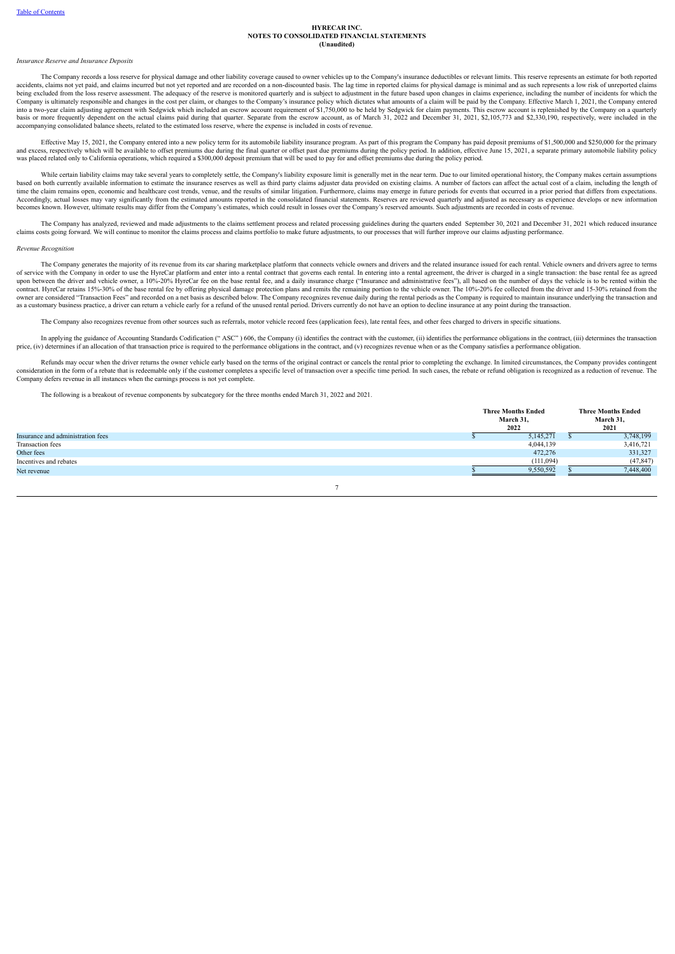#### *Insurance Reserve and Insurance Deposits*

The Company records a loss reserve for physical damage and other liability coverage caused to owner vehicles up to the Company's insurance deductibles or relevant limits. This reserve represents an estimate for both report accidents, claims not yet paid, and claims incurred but not yet reported and are recorded on a non-discounted basis. The lag time in reported claims for physical damage is minimal and as such represents a low risk of unrep being excluded from the loss reserve assessment. The adequacy of the reserve is monitored quarterly and is subject to adjustment in the future based upon changes in claims experience, including the number of incidents for Company is ultimately responsible and changes in the cost per claim, or changes to the Company's insurance policy which dictates what amounts of a claim will be paid by the Company. Effective March 1, 2021, the Company ent into a two-year claim adjusting agreement with Sedgwick which included an escrow account requirement of \$1,750,000 to be held by Sedgwick for claim payments. This escrow account is replenished by the Company on a quarterly accompanying consolidated balance sheets, related to the estimated loss reserve, where the expense is included in costs of revenue.

Effective May 15, 2021, the Company entered into a new policy term for its automobile liability insurance program. As part of this program the Company has paid deposit premiums of \$1,500,000 and \$250,000 for the primary and excess, respectively which will be available to offset premiums due during the final quarter or offset past due premiums during the policy period. In addition, effective June 15, 2021, a separate primary automobile lia

While certain liability claims may take several years to completely settle, the Company's liability exposure limit is generally met in the near term. Due to our limited operational history, the Company makes certain assump based on both currently available information to estimate the insurance reserves as well as third party claims adjuster data provided on existing claims. A number of factors can affect the actual cost of a claim, including time the claim remains open, economic and healthcare cost trends, venue, and the results of similar litigation. Furthermore, claims may emerge in future periods for events that occurred in a prior period that differs from Accordingly, actual losses may vary significantly from the estimated amounts reported in the consolidated financial statements. Reserves are reviewed quarterly and adjusted as necessary as experience develops or new inform becomes known. However, ultimate results may differ from the Company's estimates, which could result in losses over the Company's reserved amounts. Such adjustments are recorded in costs of revenue.

The Company has analyzed, reviewed and made adjustments to the claims settlement process and related processing guidelines during the quarters ended September 30, 2021 and December 31, 2021 which reduced insurance claims costs going forward. We will continue to monitor the claims process and claims portfolio to make future adjustments, to our processes that will further improve our claims adjusting performance.

#### *Revenue Recognition*

The Company generates the majority of its revenue from its car sharing marketplace platform that connects vehicle owners and drivers and the related insurance issued for each rental. Vehicle owners and drivers agree to ter of service with the Company in order to use the HyreCar platform and enter into a rental contract that governs each rental. In entering into a rental agreement, the driver is charged in a single transaction: the base renta contract. HyreCar retains 15%-30% of the base rental fee by offering physical damage protection plans and remits the remaining portion to the vehicle owner. The 10%-20% fee collected from the driver and 15-30% retained fro owner are considered "Transaction Fees" and recorded on a net basis as described below. The Company recognizes revenue daily during the rental periods as the Company is required to maintain insurance underlying the transac

The Company also recognizes revenue from other sources such as referrals, motor vehicle record fees (application fees), late rental fees, and other fees charged to drivers in specific situations

In applying the guidance of Accounting Standards Codification ("ASC") 606, the Company (i) identifies the contract with the customer, (ii) identifies the performance obligations in the contract, (iii) determines the transa

Refunds may occur when the driver returns the owner vehicle early based on the terms of the original contract or cancels the rental prior to completing the exchange. In limited circumstances, the Company provides contingen consideration in the form of a rebate that is redeemable only if the customer completes a specific level of transaction over a specific time period. In such cases, the rebate or refund obligation is recognized as a reducti Company defers revenue in all instances when the earnings process is not yet complete.

The following is a breakout of revenue components by subcategory for the three months ended March 31, 2022 and 2021.

|                                   | <b>Three Months Ended</b><br>March 31,<br>2022 | <b>Three Months Ended</b><br>March 31,<br>2021 |  |  |
|-----------------------------------|------------------------------------------------|------------------------------------------------|--|--|
| Insurance and administration fees | 5,145,271                                      | 3,748,199                                      |  |  |
| Transaction fees                  | 4,044,139                                      | 3,416,721                                      |  |  |
| Other fees                        | 472,276                                        | 331,327                                        |  |  |
| Incentives and rebates            | (111,094)                                      | (47, 847)                                      |  |  |
| Net revenue                       | 9,550,592                                      | 7,448,400                                      |  |  |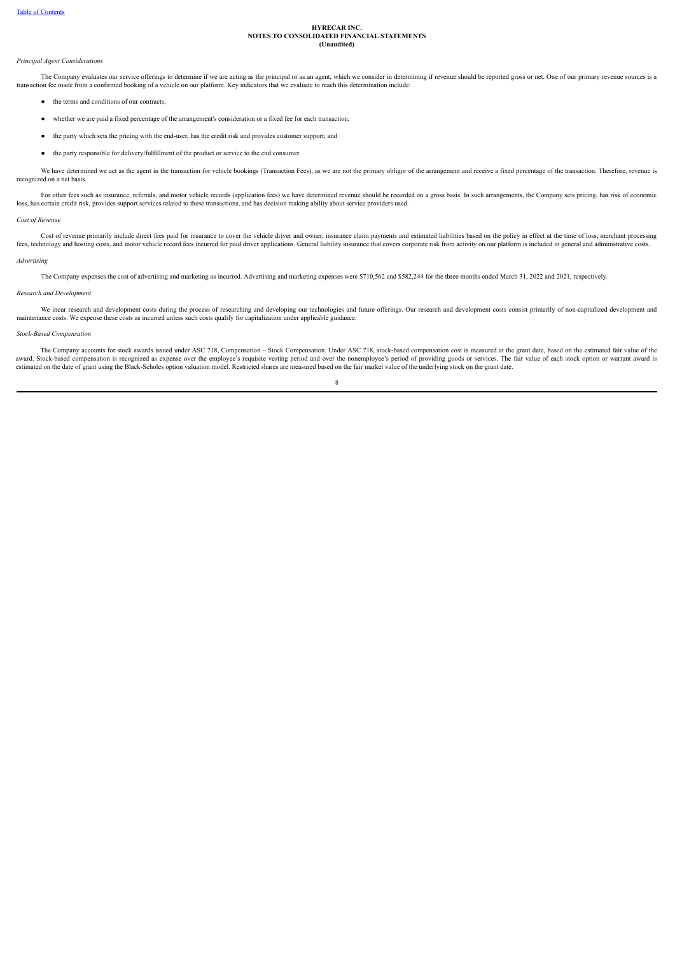# *Principal Agent Considerations*

The Company evaluates our service offerings to determine if we are acting as the principal or as an agent, which we consider in determining if revenue should be reported gross or net. One of our primary revenue sources is transaction fee made from a confirmed booking of a vehicle on our platform. Key indicators that we evaluate to reach this determination include:

- the terms and conditions of our contracts;
- whether we are paid a fixed percentage of the arrangement's consideration or a fixed fee for each transaction;
- the party which sets the pricing with the end-user, has the credit risk and provides customer support; and
- the party responsible for delivery/fulfillment of the product or service to the end consumer.

We have determined we act as the agent in the transaction for vehicle bookings (Transaction Fees), as we are not the primary obligor of the arrangement and receive a fixed percentage of the transaction. Therefore, revenue recognized on a net basis.

For other fees such as insurance, referrals, and motor vehicle records (application fees) we have determined revenue should be recorded on a gross basis. In such arrangements, the Company sets pricing, has risk of economic

# $Cost$  *of*  $Revenu$

Cost of revenue primarily include direct fees paid for insurance to cover the vehicle driver and owner, insurance claim payments and estimated liabilities based on the policy in effect at the time of loss, merchant process

#### *Advertising*

The Company expenses the cost of advertising and marketing as incurred. Advertising and marketing expenses were \$710,562 and \$582,244 for the three months ended March 31, 2022 and 2021, respectively.

# *Research and Development*

We incur research and development costs during the process of researching and developing our technologies and future offerings. Our research and development costs consist primarily of non-capitalized development and maintenance costs. We expense these costs as incurred unless such costs qualify for capitalization under applicable guidance.

# *Stock-Based Compensation*

The Company accounts for stock awards issued under ASC 718, Compensation – Stock Compensation. Under ASC 718, stock-based compensation cost is measured at the grant date, based on the estimated fair value of the award. Stock-based compensation is recognized as expense over the employee's requisite vesting period and over the nonemployee's period of providing goods or services. The fair value of each stock option or warrant award i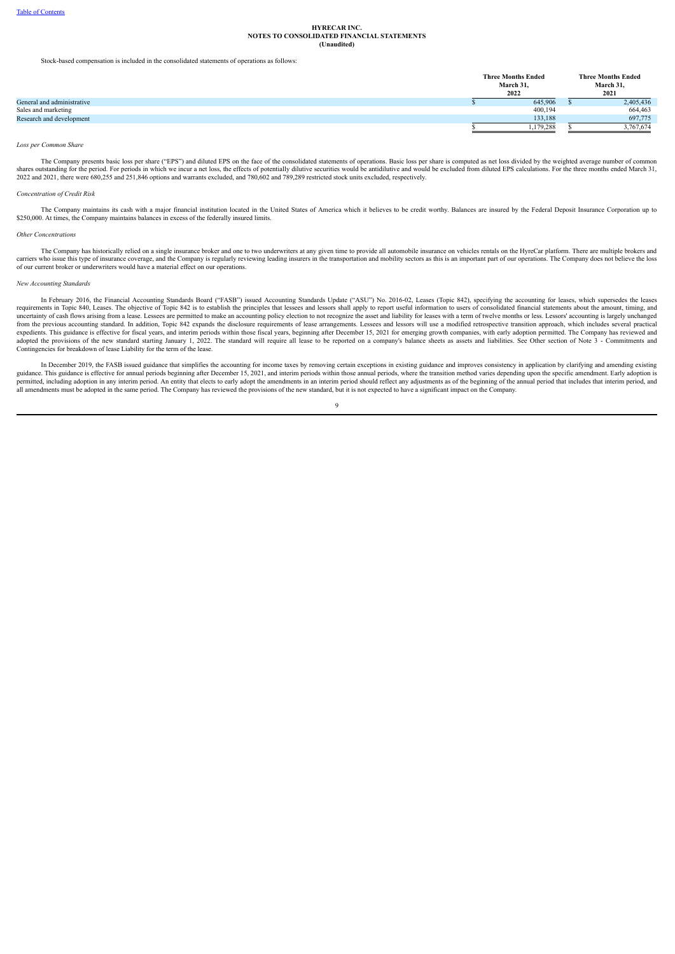Stock-based compensation is included in the consolidated statements of operations as follows:

|                            | <b>Three Months Ended</b><br>March 31,<br>2022 | <b>Three Months Ended</b><br>March 31,<br>2021 |           |  |
|----------------------------|------------------------------------------------|------------------------------------------------|-----------|--|
| General and administrative | 645,906                                        |                                                | 2,405,436 |  |
| Sales and marketing        | 400,194                                        |                                                | 664,463   |  |
| Research and development   | 133,188                                        |                                                | 697,775   |  |
|                            | 1,179,288                                      |                                                | 3,767,674 |  |
|                            |                                                |                                                |           |  |

*Loss per Common Share*

The Company presents basic loss per share ("EPS") and diluted EPS on the face of the consolidated statements of operations. Basic loss per share is computed as net loss divided by the weighted average number of common shar 2022 and 2021, there were 680,255 and 251,846 options and warrants excluded, and 780,602 and 789,289 restricted stock units excluded, respectively.

*Concentration of Credit Risk*

The Company maintains its cash with a major financial institution located in the United States of America which it believes to be credit worthy. Balances are insured by the Federal Deposit Insurance Corporation up to \$250,000. At times, the Company maintains balances in excess of the federally insured limits.

#### *Other Concentrations*

The Company has historically relied on a single insurance broker and one to two underwriters at any given time to provide all automobile insurance on vehicles rentals on the HyreCar platform. There are multiple brokers and carriers who issue this type of insurance coverage, and the Company is regularly reviewing leading insurers in the transportation and mobility sectors as this is an important part of our operations. The Company does not be

# *New Accounting Standards*

In February 2016, the Financial Accounting Standards Board ("FASB") issued Accounting Standards Update ("ASU") No. 2016-02, Leases (Topic 842), specifying the accounting for leases, which supersedes the leases requirements in Topic 840, Leases. The objective of Topic 842 is to establish the principles that lessees and lessors shall apply to report useful information to users of consolidated financial statements about the amount, uncertainty of cash flows arising from a lease. Lessees are permitted to make an accounting policy election to not recognize the asset and liability for leases with a term of twelve months or less. Lessors' accounting is l expedients. This guidance is effective for fiscal years, and interim periods within those fiscal years, beginning after December 15, 2021 for emerging growth companies, with early adoption permitted. The Company has review Contingencies for breakdown of lease Liability for the term of the lease.

In December 2019, the FASB issued guidance that simplifies the accounting for income taxes by removing certain exceptions in existing guidance and improves consistency in application by clarifying and amending existing gui permitted, including adoption in any interim period. An entity that elects to early adopt the amendments in an interim period should reflect any adjustments as of the beginning of the annual period that includes that inter all amendments must be adopted in the same period. The Company has reviewed the provisions of the new standard, but it is not expected to have a significant impact on the Company.

 $\overline{9}$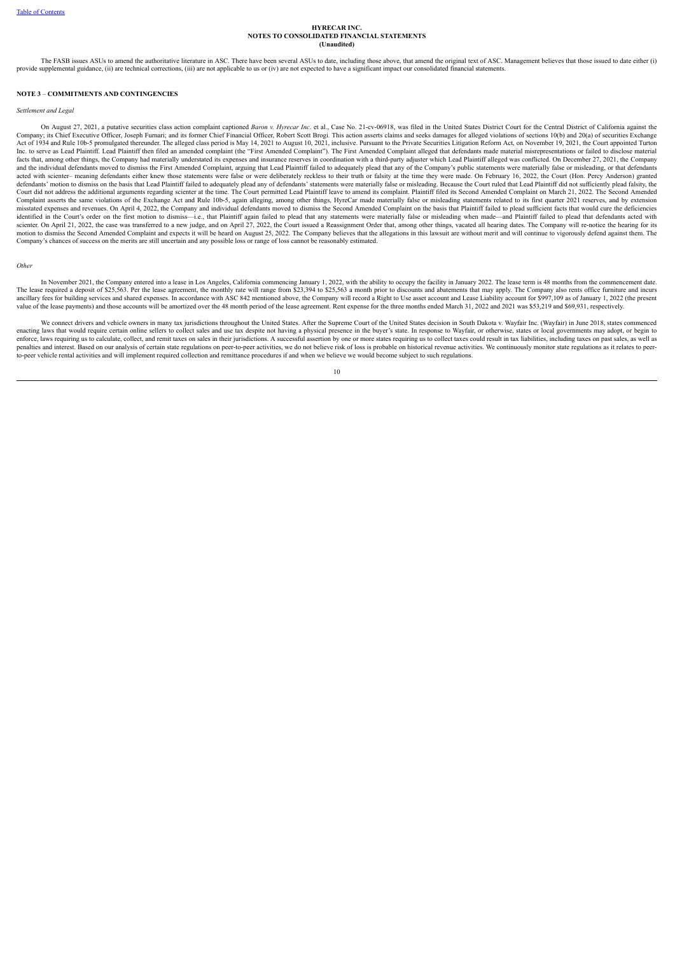The FASB issues ASUs to amend the authoritative literature in ASC. There have been several ASUs to date, including those above, that amend the original text of ASC. Management believes that those issued to date either (i) provide supplemental guidance, (ii) are technical corrections, (iii) are not applicable to us or (iv) are not expected to have a significant impact our consolidated financial statements.

#### **NOTE 3** – **COMMITMENTS AND CONTINGENCIES**

# *Settlement and Legal*

On August 27, 2021, a putative securities class action complaint captioned Baron v. Hyrecar Inc. et al., Case No. 21-cv-06918, was filed in the United States District Court for the Central District of California against th Company; its Chief Executive Officer, Joseph Furnari; and its former Chief Financial Officer, Robert Scott Brogi. This action asserts claims and seeks damages for alleged violations of sections 10(b) and 20(a) of securitie Inc. to serve as Lead Plaintiff. Lead Plaintiff then filed an amended complaint (the "First Amended Complaint"). The First Amended Complaint alleged that defendants made material misrepresentations or failed to disclose ma facts that, among other things, the Company had materially understated its expenses and insurance reserves in coordination with a third-party adjuster which Lead Plaintiff alleged was conflicted. On December 27, 2021, the and the individual defendants moved to dismiss the First Amended Complaint, arguing that Lead Plaintiff failed to adequately plead that any of the Company's public statements were materially false or misleading, or that de acted with scienter- meaning defendants either knew those statements were false or were deliberately reckless to their truth or falsity at the time they were made. On February 16, 2022, the Court (Hon. Percy Anderson) gran defendants' motion to dismiss on the basis that Lead Plaintiff failed to adequately plead any of defendants' statements were materially false or misleading. Because the Court ruled that Lead Plaintiff did not sufficiently Court did not address the additional arguments regarding scienter at the time. The Court permitted Lead Plaintiff leave to amend its complaint. Plaintiff filed its Second Amended Complaint on March 21, 2022. The Second Ame Complaint asserts the same violations of the Exchange Act and Rule 10b-5, again alleging, among other things, HyreCar made materially false or misleading statements related to its first quarter 2021 reserves, and by extens misstated expenses and revenues. On April 4, 2022, the Company and individual defendants moved to dismiss the Second Amended Complaint on the basis that Plaintiff failed to plead sufficient facts that would cure the defici Company's chances of success on the merits are still uncertain and any possible loss or range of loss cannot be reasonably estimated.

#### *Other*

In November 2021, the Company entered into a lease in Los Angeles, California commencing January 1, 2022, with the ability to occupy the facility in January 2022. The lease term is 48 months from the commencement date.<br>The ancillary fees for building services and shared expenses. In accordance with ASC 842 mentioned above, the Company will record a Right to Use asset account and Lease Liability account for \$997,109 as of January 1, 2022 (the

We connect drivers and vehicle owners in many tax jurisdictions throughout the United States. After the Supreme Court of the United States decision in South Dakota v. Wayfair Inc. (Wayfair) in June 2018, states commenced enacting laws that would require certain online sellers to collect sales and use tax despite not having a physical presence in the buyer's state. In response to Wayfair, or otherwise, states or local governments may adopt, enforce, laws requiring us to calculate, collect, and remit taxes on sales in their jurisdictions. A successful assertion by one or more states requiring us to collect taxes could result in tax liabilities, including taxes to-peer vehicle rental activities and will implement required collection and remittance procedures if and when we believe we would become subject to such regulations.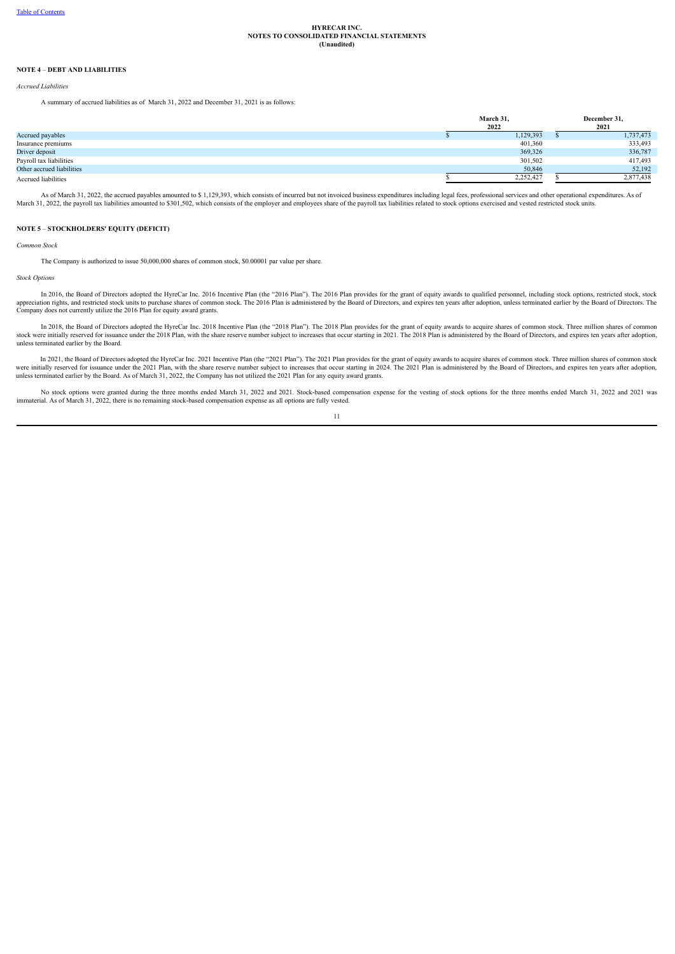# **NOTE 4** – **DEBT AND LIABILITIES**

# *Accrued Liabilities*

A summary of accrued liabilities as of March 31, 2022 and December 31, 2021 is as follows:

|                           |  | March 31,<br>2022 | December 31,<br>2021 |  |  |
|---------------------------|--|-------------------|----------------------|--|--|
| Accrued payables          |  | 1,129,393         | 1,737,473            |  |  |
| Insurance premiums        |  | 401,360           | 333,493              |  |  |
| Driver deposit            |  | 369,326           | 336,787              |  |  |
| Payroll tax liabilities   |  | 301,502           | 417,493              |  |  |
| Other accrued liabilities |  | 50,846            | 52,192               |  |  |
| Accrued liabilities       |  | 2,252,427         | 2,877,438            |  |  |

As of March 31, 2022, the accrued payables amounted to \$1,129,393, which consists of incurred but not invoiced business expenditures including legal fees, professional services and other operational expenditures. As of Mar

# **NOTE 5** – **STOCKHOLDERS' EQUITY (DEFICIT)**

*Common Stock*

The Company is authorized to issue 50,000,000 shares of common stock, \$0.00001 par value per share.

*Stock Options*

In 2016, the Board of Directors adopted the HyreCar Inc. 2016 Incentive Plan (the "2016 Plan"). The 2016 Plan provides for the grant of equity awards to qualified personnel, including stock options, restricted stock, stock appreciation rights, and restricted stock units to purchase shares of common stock. The 2016 Plan is administered by the Board of Directors, and expires ten years after adoption, unless terminated earlier by the Board of D Company does not currently utilize the 2016 Plan for equity award grants.

In 2018, the Board of Directors adopted the HyreCar Inc. 2018 Incentive Plan (the "2018 Plan"). The 2018 Plan provides for the grant of equity awards to acquire shares of common stock. Three million shares of common<br>stock unless terminated earlier by the Board.

In 2021, the Board of Directors adopted the HyreCar Inc. 2021 Incentive Plan (the "2021 Plan"). The 2021 Plan provides for the grant of equity awards to acquire shares of common stock. Three million shares of common stock were initially reserved for issuance under the 2021 Plan, with the share reserve number subject to increases that occur starting in 2024. The 2021 Plan is administered by the Board of Directors, and expires ten years after

No stock options were granted during the three months ended March 31, 2022 and 2021. Stock-based compensation expense for the vesting of stock options for the three months ended March 31, 2022 and 2021 was immaterial. As of March 31, 2022, there is no remaining stock-based compensation expense as all options are fully vested.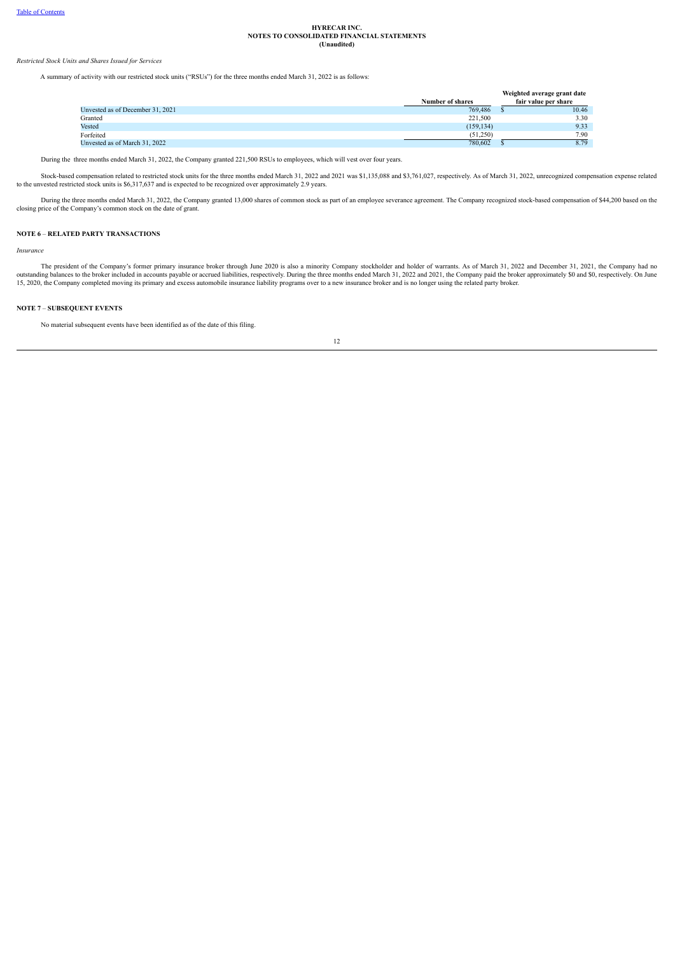*Restricted Stock Units and Shares Issued for Services*

A summary of activity with our restricted stock units ("RSUs") for the three months ended March 31, 2022 is as follows:

|                                  |                  | Weighted average grant date |
|----------------------------------|------------------|-----------------------------|
|                                  | Number of shares | fair value per share        |
| Unvested as of December 31, 2021 | 769,486          | 10.46                       |
| Granted                          | 221.500          | 3.30                        |
| Vested                           | (159, 134)       | 9.33                        |
| Forfeited                        | (51.250)         | 7.90                        |
| Unvested as of March 31, 2022    | 780,602          | 8.79                        |

During the three months ended March 31, 2022, the Company granted 221,500 RSUs to employees, which will vest over four years.

Stock-based compensation related to restricted stock units for the three months ended March 31, 2022 and 2021 was \$1,135,088 and \$3,761,027, respectively. As of March 31, 2022, unrecognized compensation expense related to the unvested restricted stock units is \$6,317,637 and is expected to be recognized over approximately 2.9 years.

During the three months ended March 31, 2022, the Company granted 13,000 shares of common stock as part of an employee severance agreement. The Company recognized stock-based compensation of \$44,200 based on the closing price of the Company's common stock on the date of grant.

# **NOTE 6** – **RELATED PARTY TRANSACTIONS**

*Insurance*

The president of the Company's former primary insurance broker through June 2020 is also a minority Company stockholder and holder of warrants. As of March 31, 2022 and December 31, 2021, the Company had no outstanding bal

# **NOTE 7** – **SUBSEQUENT EVENTS**

No material subsequent events have been identified as of the date of this filing.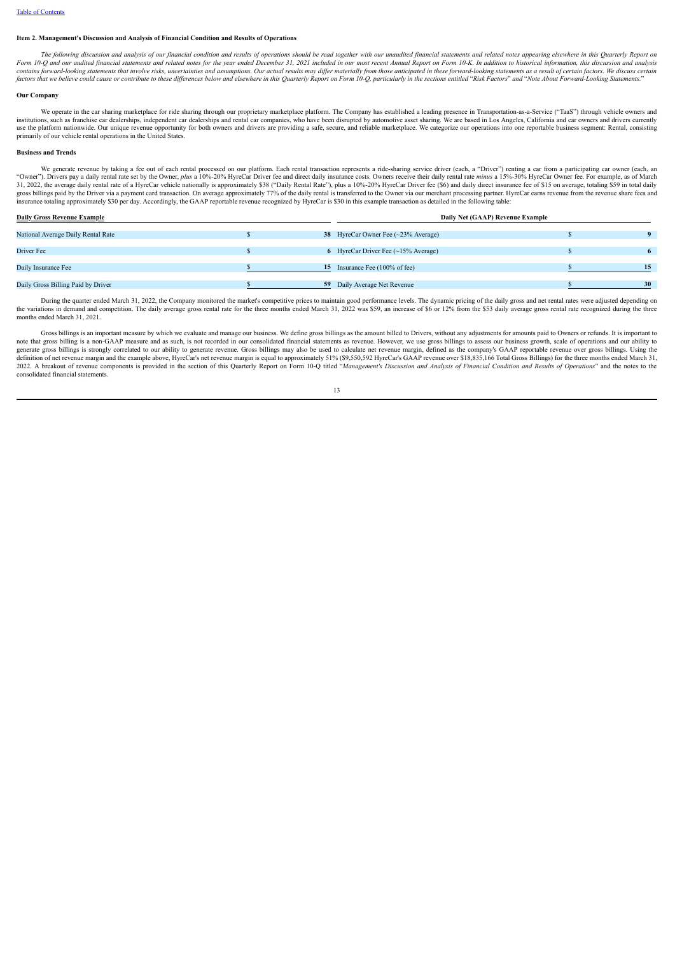# <span id="page-15-0"></span>**Item 2. Management's Discussion and Analysis of Financial Condition and Results of Operations**

The following discussion and analysis of our financial condition and results of operations should be read together with our unaudited financial statements and related notes appearing elsewhere in this Quarterly Report on Form 10-Q and our audited financial statements and related notes for the year ended December 31, 2021 included in our most recent Annual Report on Form 10-K. In addition to historical information, this discussion and analy factors that we believe could cause or contribute to these differences below and elsewhere in this Quarterly Report on Form 10-Q, particularly in the sections entitled "Risk Factors" and "Note About Forward-Looking Stateme

#### **Our Company**

We operate in the car sharing marketplace for ride sharing through our proprietary marketplace platform. The Company has established a leading presence in Transportation-as-a-Service ("TaaS") through vehicle owners and institutions, such as franchise car dealerships, independent car dealerships and rental car companies, who have been disrupted by automotive asset sharing. We are based in Los Angeles, California and car owners and drivers primarily of our vehicle rental operations in the United States.

#### **Business and Trends**

We generate revenue by taking a fee out of each rental processed on our platform. Each rental transaction represents a ride-sharing service driver (each, a "Driver") renting a car from a participating car owner (each, an "Owner"). Drivers pay a daily rental rate set by the Owner, plus a 10%-20% HyreCar Driver fee and direct daily insurance costs. Owners receive their daily rental rate minus a 15%-30% HyreCar Owner fee. For example, as of M gross billings paid by the Driver via a payment card transaction. On average approximately 77% of the daily rental is transferred to the Owner via our merchant processing partner. HyreCar earns revenue from the revenue sha insurance totaling approximately \$30 per day. Accordingly, the GAAP reportable revenue recognized by HyreCar is \$30 in this example transaction as detailed in the following table:

| <b>Daily Gross Revenue Example</b> |    | Daily Net (GAAP) Revenue Example           |  |    |
|------------------------------------|----|--------------------------------------------|--|----|
| National Average Daily Rental Rate |    | 38 HyreCar Owner Fee (~23% Average)        |  |    |
| Driver Fee                         |    | 6 HyreCar Driver Fee $(\sim 15\%$ Average) |  | 6. |
| Daily Insurance Fee                | 15 | Insurance Fee (100% of fee)                |  | 15 |
| Daily Gross Billing Paid by Driver |    | 59 Daily Average Net Revenue               |  | 30 |

During the quarter ended March 31, 2022, the Company monitored the market's competitive prices to maintain good performance levels. The dynamic pricing of the daily gross and net rental rates were adjusted depending on the months ended March 31, 2021.

Gross billings is an important measure by which we evaluate and manage our business. We define gross billings as the amount billed to Drivers, without any adjustments for amounts paid to Owners or refunds. It is important to note that gross billing is a non-GAAP measure and as such, is not recorded in our consolidated financial statements as revenue. However, we use gross billings to assess our business growth, scale of operations and our abil securities is strongly correlated to our ability to generate revenue. Gross billings may also be used to calculate net revenue margin, defined as the company's GAAP reportable revenue over gross billings. Using the definition of net revenue margin and the example above, HyreCar's net revenue margin is equal to approximately 51% (\$9,550,592 HyreCar's GAAP revenue over \$18,835,166 Total Gross Billings) for the three months ended March consolidated financial statements.

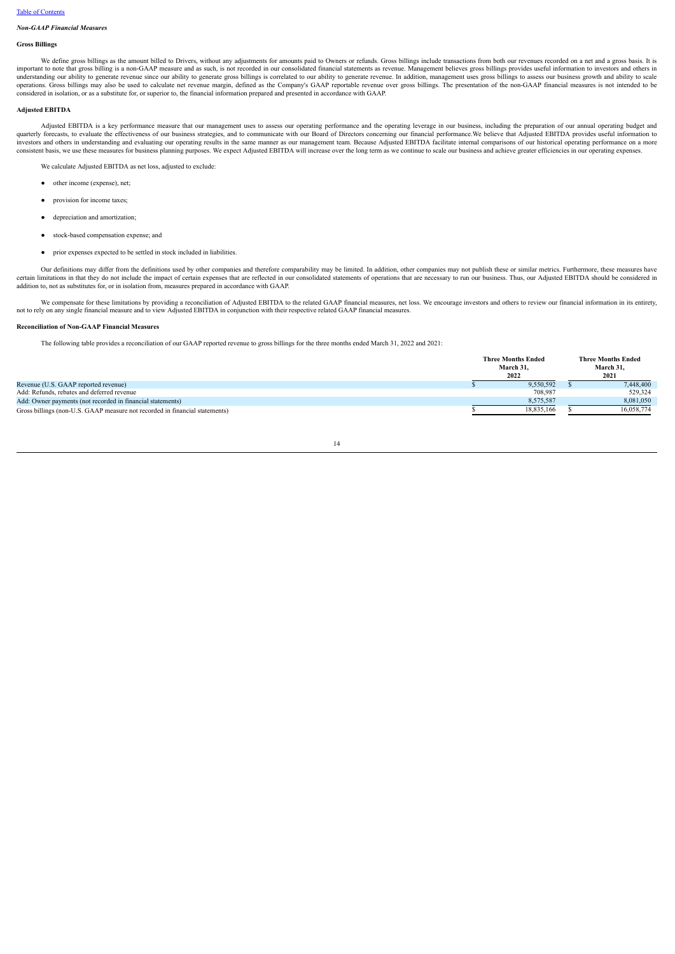# *Non-GAAP Financial Measures*

# **Gross Billings**

We define gross billings as the amount billed to Drivers, without any adjustments for amounts paid to Owners or refunds. Gross billings include transactions from both our revenues recorded on a net and a gross basis. It is important to note that gross billing is a non-GAAP measure and as such, is not recorded in our consolidated financial statements as revenue. Management believes gross billings provides useful information to investors and o operations. Gross billings may also be used to calculate net revenue margin, defined as the Company's GAAP reportable revenue over gross billings. The presentation of the non-GAAP financial measures is not intended to be considered in isolation, or as a substitute for, or superior to, the financial information prepared and presented in accordance with GAAP.

#### **Adjusted EBITDA**

Adjusted EBITDA is a key performance measure that our management uses to assess our operating performance and the operating leverage in our business, including the preparation of our annual operating budget and quarterly f investors and others in understanding and evaluating our operating results in the same manner as our management team. Because Adjusted EBITDA facilitate internal comparisons of our historical operating performance on a mor

We calculate Adjusted EBITDA as net loss, adjusted to exclude:

- other income (expense), net:
- provision for income taxes;
- depreciation and amortization;
- stock-based compensation expense; and
- prior expenses expected to be settled in stock included in liabilities.

Our definitions may differ from the definitions used by other companies and therefore comparability may be limited. In addition, other companies may not publish these or similar metrics. Furthermore, these measures have certain limitations in that they do not include the impact of certain expenses that are reflected in our consolidated statements of operations that are necessary to run our business. Thus, our Adjusted EBITDA should be con

We compensate for these limitations by providing a reconciliation of Adjusted EBITDA to the related GAAP financial measures, net loss. We encourage investors and others to review our financial information in its entirety, not to rely on any single financial measure and to view Adjusted EBITDA in conjunction with their respective related GAAP financial measures.

# **Reconciliation of Non-GAAP Financial Measures**

The following table provides a reconciliation of our GAAP reported revenue to gross billings for the three months ended March 31, 2022 and 2021:

|                                                                             | <b>Three Months Ended</b><br>March 31,<br>2022 | <b>Three Months Ended</b><br>March 31,<br>2021 |
|-----------------------------------------------------------------------------|------------------------------------------------|------------------------------------------------|
| Revenue (U.S. GAAP reported revenue)                                        | 9,550,592                                      | 7,448,400                                      |
| Add: Refunds, rebates and deferred revenue                                  | 708.987                                        | 529.324                                        |
| Add: Owner payments (not recorded in financial statements)                  | 8,575,587                                      | 8,081,050                                      |
| Gross billings (non-U.S. GAAP measure not recorded in financial statements) | 18.835.166                                     | 16.058.774                                     |

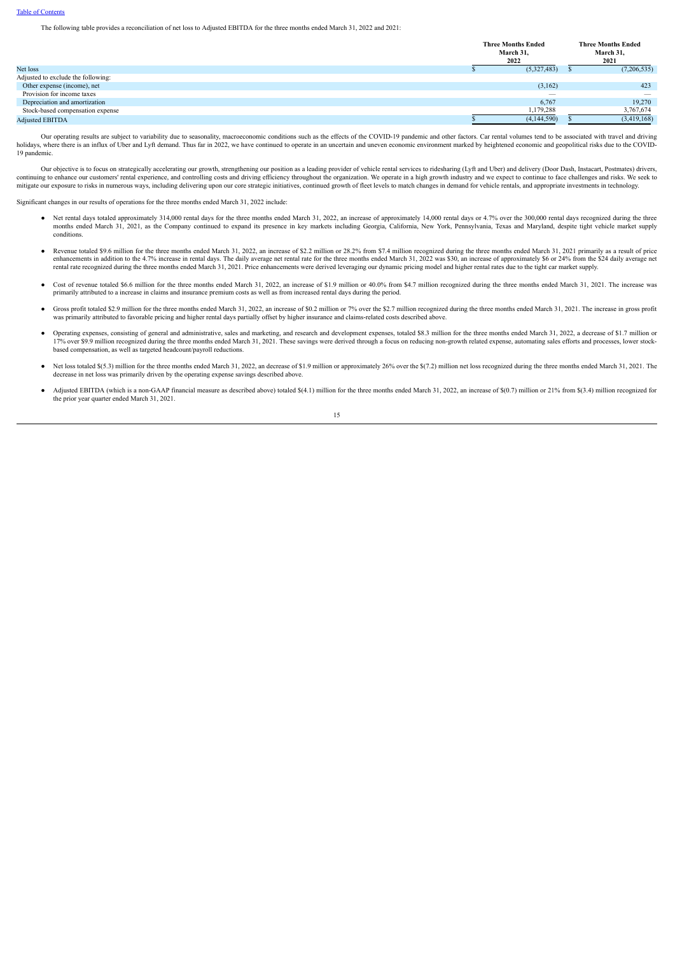#### Table of Content

The following table provides a reconciliation of net loss to Adjusted EBITDA for the three months ended March 31, 2022 and 2021:

|                                    | <b>Three Months Ended</b><br>March 31,<br>2022 | <b>Three Months Ended</b><br>March 31,<br>2021 |                          |
|------------------------------------|------------------------------------------------|------------------------------------------------|--------------------------|
| Net loss                           | (5,327,483)                                    |                                                | (7,206,535)              |
| Adjusted to exclude the following: |                                                |                                                |                          |
| Other expense (income), net        | (3,162)                                        |                                                | 423                      |
| Provision for income taxes         | $\hspace{0.05cm}$                              |                                                | $\overline{\phantom{a}}$ |
| Depreciation and amortization      | 6,767                                          |                                                | 19,270                   |
| Stock-based compensation expense   | 1,179,288                                      |                                                | 3,767,674                |
| <b>Adjusted EBITDA</b>             | (4,144,590)                                    |                                                | (3,419,168)              |

Our operating results are subject to variability due to seasonality, macroeconomic conditions such as the effects of the COVID-19 pandemic and other factors. Car rental volumes tend to be associated with travel and driving holidays, where there is an influx of Uber and Lyft demand. Thus far in 2022, we have continued to operate in an uncertain and uneven economic environment marked by heightened economic and geopolitical risks due to the COV 19 pandemic.

Our objective is to focus on strategically accelerating our growth, strengthening our position as a leading provider of vehicle rental services to ridesharing (Lyft and Uber) and delivery (Door Dash, Instacart, Postmates) continuing to enhance our customers' rental experience, and controlling costs and driving efficiency throughout the organization. We operate in a high growth industry and we expect to continue to face challenges and risks. mitigate our exposure to risks in numerous ways, including delivering upon our core strategic initiatives, continued growth of fleet levels to match changes in demand for vehicle rentals, and appropriate investments in tec

Significant changes in our results of operations for the three months ended March 31, 2022 include:

- Net rental days totaled approximately 314,000 rental days for the three months ended March 31, 2022, an increase of approximately 14,000 rental days or 4.7% over the 300,000 rental days recognized during the three months e conditions.
- Revenue totaled \$9.6 million for the three months ended March 31, 2022, an increase of \$2.2 million or 28.2% from \$7.4 million recognized during the three months ended March 31, 2021 primarily as a result of price enhancements in addition to the 4.7% increase in rental days. The daily average net rental rate for the three months ended March 31, 2022 was \$30, an increase of approximately \$6 or 24% from the \$24 daily average net<br>renta
- Cost of revenue totaled \$6.6 million for the three months ended March 31, 2022, an increase of \$1.9 million or 40.0% from \$4.7 million recognized during the three months ended March 31, 2021. The increase was primarily att
- Gross profit totaled \$2.9 million for the three months ended March 31, 2022, an increase of \$0.2 million or 7% over the \$2.7 million recognized during the three months ended March 31, 2021. The increase in gross profit was primarily attributed to favorable pricing and higher rental days partially offset by higher insurance and claims-related costs described above.
- Operating expenses, consisting of general and administrative, sales and marketing, and research and development expenses, totaled \$8.3 million for the three months ended March 31, 2022, a decrease of \$1.7 million or 17% over \$9.9 million recognized during the three months ended March 31, 2021. These savings were derived through a focus on reducing non-growth related expense, automating sales efforts and processes, lower stockbased compensation, as well as targeted headcount/payroll reductions.
- Net loss totaled \$(5.3) million for the three months ended March 31, 2022, an decrease of \$1.9 million or approximately 26% over the \$(7.2) million net loss recognized during the three months ended March 31, 2021. The decrease in net loss was primarily driven by the operating expense savings described above.
- Adjusted EBITDA (which is a non-GAAP financial measure as described above) totaled \$(4.1) million for the three months ended March 31, 2022, an increase of \$(0.7) million or 21% from \$(3.4) million recognized for the prior year quarter ended March 31, 2021.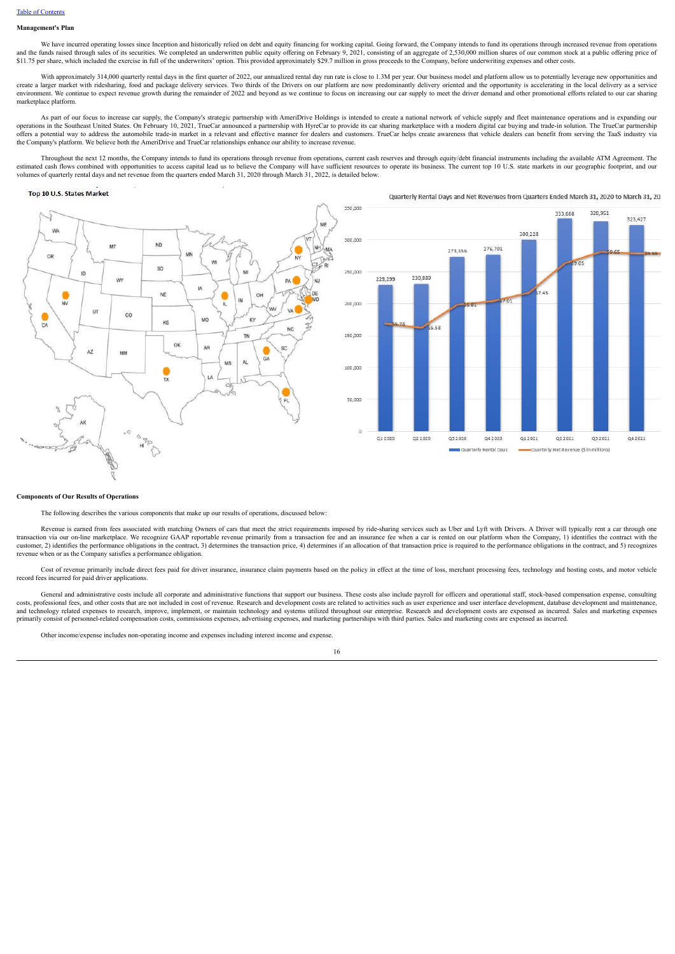# **Management's Plan**

We have incurred operating losses since Inception and historically relied on debt and equity financing for working capital. Going forward, the Company intends to fund its operations through increased revenue from operation and the funds raised through sales of its securities. We completed an underwritten public equity offering on February 9, 2021, consisting of an aggregate of 2,530,000 million shares of our common stock at a public offering

With approximately 314,000 quarterly rental days in the first quarter of 2022, our annualized rental day run rate is close to 1.3M per year. Our business model and platform allow us to potentially leverage new opportunitie create a larger market with ridesharing, food and package delivery services. Two thirds of the Drivers on our platform are now predominantly delivery oriented and the opportunity is accelerating in the local delivery as a environment. We continue to expect revenue growth during the remainder of 2022 and beyond as we continue to focus on increasing our car supply to meet the driver demand and other promotional efforts related to our car shar marketplace platform.

As part of our focus to increase car supply, the Company's strategic partnership with AmeriDrive Holdings is intended to create a national network of vehicle supply and fleet maintenance operations and is expanding our operations in the Southeast United States. On February 10, 2021, TrueCar announced a partnership with HyreCar to provide its car sharing marketplace with a modern digital car buying and trade-in solution. The TrueCar partn offers a potential way to address the automobile trade in market in a relevant and effective manner for dealers and customers. TrueCar helps create awareness that vehicle dealers can benefit from serving the TaaS industry the Company's platform. We believe both the AmeriDrive and TrueCar relationships enhance our ability to increase revenue.

Throughout the next 12 months, the Company intends to fund its operations through revenue from operations, current cash reserves and through equity/debt financial instruments including the available ATM Agreement. The estimated cash flows combined with opportunities to access capital lead us to believe the Company will have sufficient resources to operate its business. The current top 10 U.S. state markets in our geographic footprint, a volumes of quarterly rental days and net revenue from the quarters ended March 31, 2020 through March 31, 2022, is detailed below.

#### Top 10 U.S. States Market



# **Components of Our Results of Operations**

The following describes the various components that make up our results of operations, discussed below:

Revenue is earned from fees associated with matching Owners of cars that meet the strict requirements imposed by ride-sharing services such as Uber and Lyft with Drivers. A Driver will typically rent a car through one tran customer, 2) identifies the performance obligations in the contract, 3) determines the transaction price, 4) determines if an allocation of that transaction price is required to the performance obligations in the contract, revenue when or as the Company satisfies a performance obligation.

Cost of revenue primarily include direct fees paid for driver insurance, insurance claim payments based on the policy in effect at the time of loss, merchant processing fees, technology and hosting costs, and motor vehicle record fees incurred for paid driver applications.

General and administrative costs include all corporate and administrative functions that support our business. These costs also include payroll for officers and operational staff, stock-based compensation expense, consulting costs, professional fees, and other costs that are not included in cost of revenue. Research and development costs are related to activities such as user experience and user interface development, database development and and technology related expenses to research, improve, implement, or maintain technology and systems utilized throughout our enterprise. Research and development costs are expensed as incurred. Sales and marketing expenses primarily consist of personnel-related compensation costs, commissions expenses, advertising expenses, and marketing partnerships with third parties. Sales and marketing costs are expensed as incurred.

Other income/expense includes non-operating income and expenses including interest income and expense.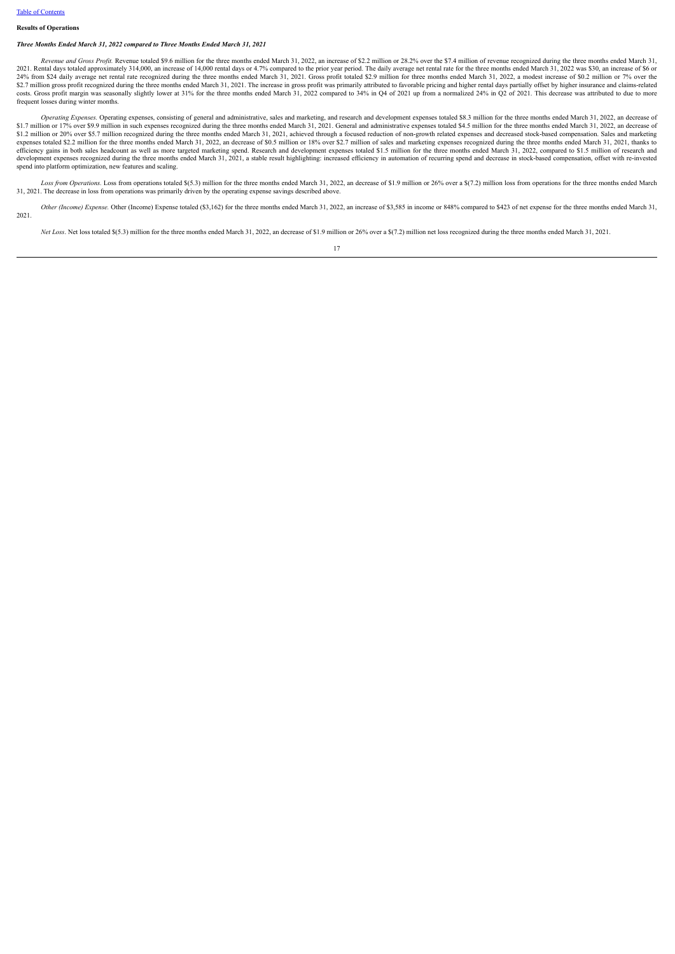# **Results of Operations**

# *Three Months Ended March 31, 2022 compared to Three Months Ended March 31, 2021*

Revenue and Gross Profit. Revenue totaled \$9.6 million for the three months ended March 31, 2022, an increase of \$2.2 million or 28.2% over the \$7.4 million of revenue recognized during the three months ended March 31, 2021. Rental days totaled approximately 314,000, an increase of 14,000 rental days or 4.7% compared to the prior year period. The daily average net rental rate for the three months ended March 31, 2022 was \$30, an increase \$2.7 million gross profit recognized during the three months ended March 31, 2021. The increase in gross profit was primarily attributed to favorable pricing and higher rental days partially offset by higher insurance and costs. Gross profit margin was seasonally slightly lower at 31% for the three months ended March 31, 2022 compared to 34% in Q4 of 2021 up from a normalized 24% in Q2 of 2021. This decrease was attributed to due to more frequent losses during winter months.

Operating Expenses. Operating expenses, consisting of general and administrative, sales and marketing, and research and development expenses totaled \$8.3 million for the three months ended March 31, 2022, an decrease of \$1.7 million or 17% over \$9.9 million in such expenses recognized during the three months ended March 31, 2021. General and administrative expenses totaled \$4.5 million for the three months ended March 31, 2022, an decreas expenses totaled \$2.2 million for the three months ended March 31, 2022, an decrease of \$0.5 million or 18% over \$2.7 million of sales and marketing expenses recognized during the three months ended March 31, 2021, thanks efficiency gains in both sales headcount as well as more targeted marketing spend. Research and development expenses totaled \$1.5 million for the three months ended March 31, 2022, compared to \$1.5 million of research and spend into platform optimization, new features and scaling.

Loss from Operations. Loss from operations totaled \$(5.3) million for the three months ended March 31, 2022, an decrease of \$1.9 million or 26% over a \$(7.2) million loss from operations for the three months ended March 31, 2021. The decrease in loss from operations was primarily driven by the operating expense savings described above.

Other (Income) Expense, Other (Income) Expense totaled (\$3,162) for the three months ended March 31, 2022, an increase of \$3,585 in income or 848% compared to \$423 of net expense for the three months ended March 31, 2021.

*Net Loss*. Net loss totaled \$(5.3) million for the three months ended March 31, 2022, an decrease of \$1.9 million or 26% over a \$(7.2) million net loss recognized during the three months ended March 31, 2021.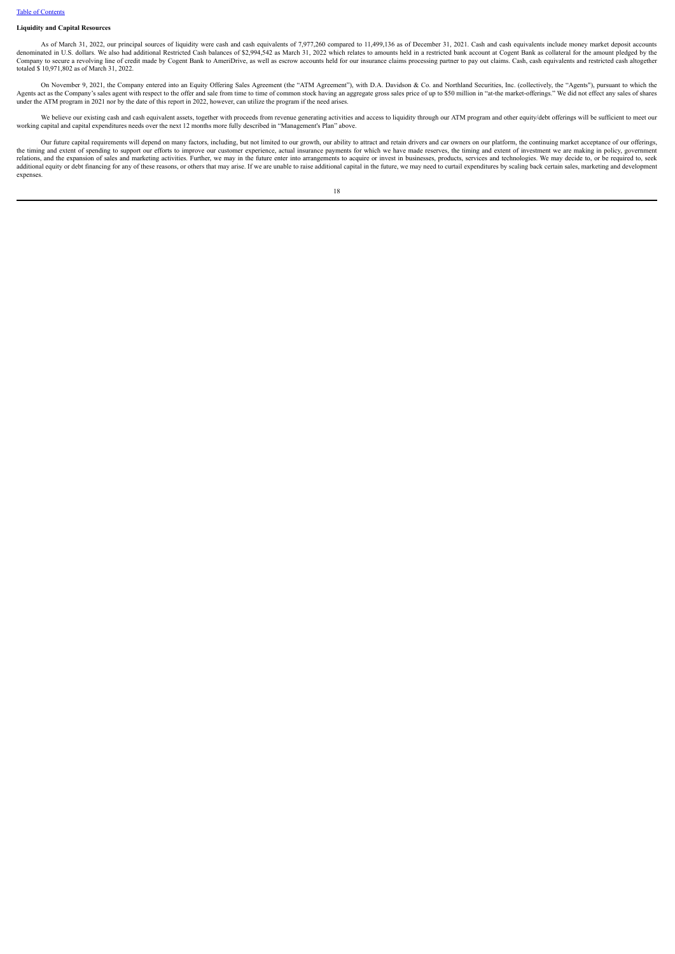# **Liquidity and Capital Resources**

As of March 31, 2022, our principal sources of liquidity were cash and cash equivalents of 7,977,260 compared to 11,499,136 as of December 31, 2021. Cash and cash equivalents include money market deposit accounts denominated in U.S. dollars. We also had additional Restricted Cash balances of \$2,994,542 as March 31, 2022 which relates to amounts held in a restricted bank account at Cogent Bank as collateral for the amount pledged by totaled \$ 10,971,802 as of March 31, 2022.

On November 9, 2021, the Company entered into an Equity Offering Sales Agreement (the "ATM Agreement"), with D.A. Davidson & Co. and Northland Securities, Inc. (collectively, the "Agents"), pursuant to which the Agents act as the Company's sales agent with respect to the offer and sale from time to time of common stock having an aggregate gross sales price of up to \$50 million in "at-the market-offerings." We did not effect any sa under the ATM program in 2021 nor by the date of this report in 2022, however, can utilize the program if the need arises.

We believe our existing cash and cash equivalent assets, together with proceeds from revenue generating activities and access to liquidity through our ATM program and other equity/debt offerings will be sufficient to meet working capital and capital expenditures needs over the next 12 months more fully described in "Management's Plan" above.

Our future capital requirements will depend on many factors, including, but not limited to our growth, our ability to attract and retain drivers and car owners on our platform, the continuing market acceptance of our offer the timing and extent of spending to support our efforts to improve our customer experience, actual insurance payments for which we have made reserves, the timing and extent of investment we are making in policy, governmen additional equity or debt financing for any of these reasons, or others that may arise. If we are unable to raise additional capital in the future, we may need to curtail expenditures by scaling back certain sales, marketi expenses.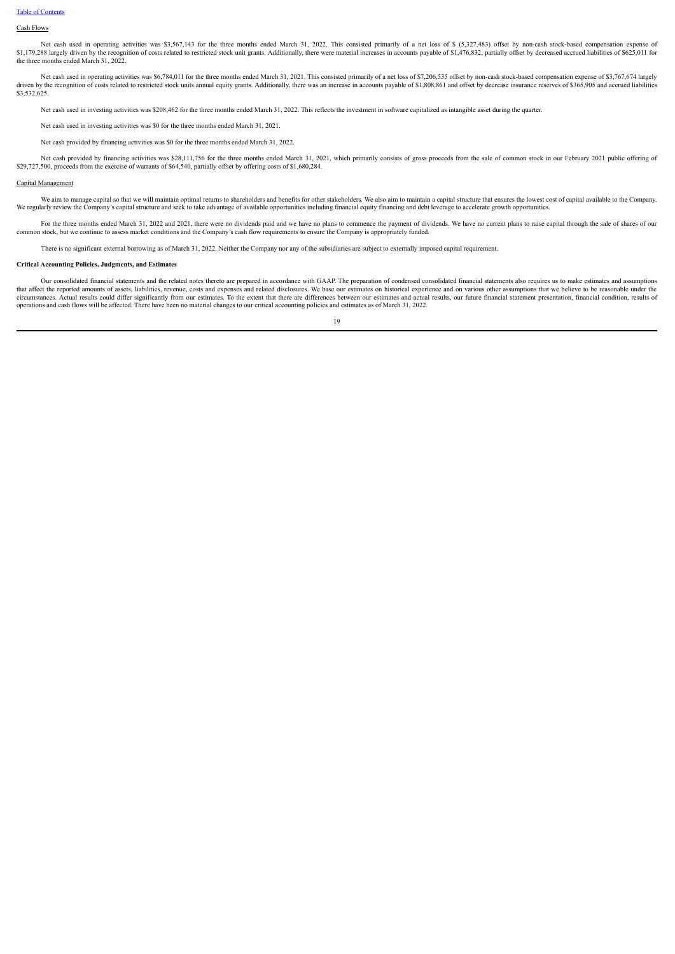# Cash Flows

Net cash used in operating activities was \$3,567,143 for the three months ended March 31, 2022. This consisted primarily of a net loss of \$ (5,327,483) offset by non-cash stock-based compensation expense of \$1,179,288 largely driven by the recognition of costs related to restricted stock unit grants. Additionally, there were material increases in accounts payable of \$1,476,832, partially offset by decreased accrued liabilitie

Net cash used in operating activities was \$6,784,011 for the three months ended March 31, 2021. This consisted primarily of a net loss of \$7,206,535 offset by non-cash stock-based compensation expense of \$3,767,674 largely driven by the recognition of costs related to restricted stock units annual equity grants. Additionally, there was an increase in accounts payable of \$1,808,861 and offset by decrease insurance reserves of \$365,905 and acc \$3,532,625.

Net cash used in investing activities was \$208,462 for the three months ended March 31, 2022. This reflects the investment in software capitalized as intangible asset during the quarter.

Net cash used in investing activities was \$0 for the three months ended March 31, 2021.

Net cash provided by financing activities was \$0 for the three months ended March 31, 2022.

Net cash provided by financing activities was \$28,111,756 for the three months ended March 31, 2021, which primarily consists of gross proceeds from the sale of common stock in our February 2021 public offering of \$29,727,500, proceeds from the exercise of warrants of \$64,540, partially offset by offering costs of \$1,680,284.

#### Capital Management

We aim to manage capital so that we will maintain optimal returns to shareholders and benefits for other stakeholders. We also aim to maintain a capital structure that ensures the lowest cost of capital available to the Co We regularly review the Company's capital structure and seek to take advantage of available opportunities including financial equity financing and debt leverage to accelerate growth opportunities.

For the three months ended March 31, 2022 and 2021, there were no dividends paid and we have no plans to commence the payment of dividends. We have no current plans to raise capital through the sale of shares of our common stock, but we continue to assess market conditions and the Company's cash flow requirements to ensure the Company is appropriately funded.

There is no significant external borrowing as of March 31, 2022. Neither the Company nor any of the subsidiaries are subject to externally imposed capital requirement.

# **Critical Accounting Policies, Judgments, and Estimates**

Our consolidated financial statements and the related notes thereto are prepared in accordance with GAAP. The preparation of condensed consolidated financial statements also requires us to make estimates and assumptions that affect the reported amounts of assets, liabilities, revenue, costs and expenses and related disclosures. We base our estimates on historical experience and on various other assumptions that we believe to be reasonable circumstances. Actual results could differ significantly from our estimates. To the extent that there are differences between our estimates and actual results, our future financial statement presentation, financial conditi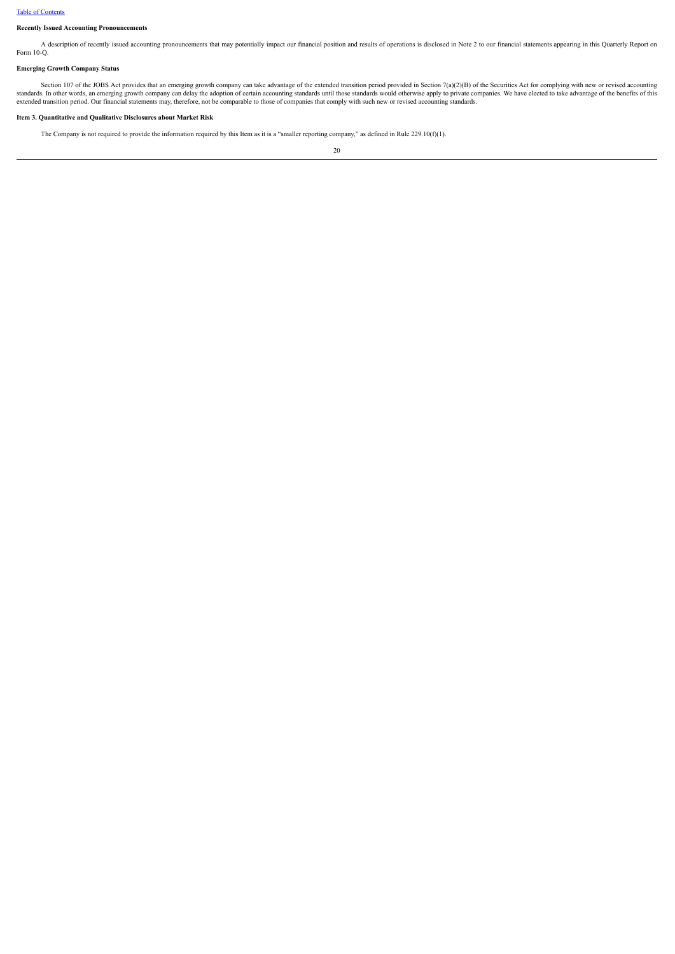# **Recently Issued Accounting Pronouncements**

A description of recently issued accounting pronouncements that may potentially impact our financial position and results of operations is disclosed in Note 2 to our financial statements appearing in this Quarterly Report Form 10-Q.

# **Emerging Growth Company Status**

Section 107 of the JOBS Act provides that an emerging growth company can take advantage of the extended transition period provided in Section 7(a)(2)(B) of the Securities Act for complying with new or revised accounting st

# <span id="page-22-0"></span>**Item 3. Quantitative and Qualitative Disclosures about Market Risk**

The Company is not required to provide the information required by this Item as it is a "smaller reporting company," as defined in Rule 229.10(f)(1).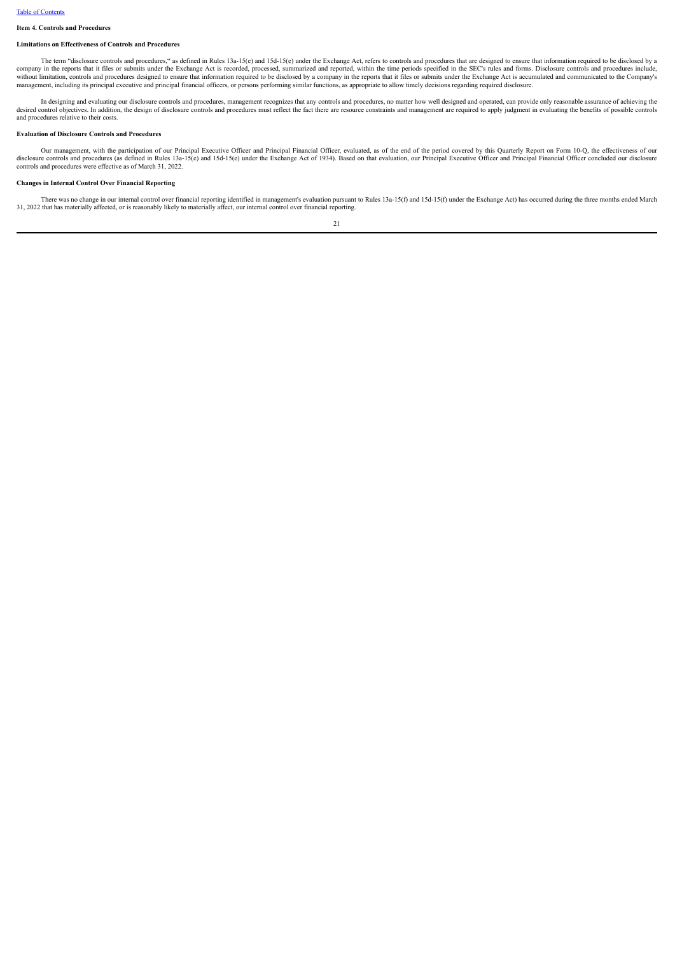# <span id="page-23-0"></span>**Item 4. Controls and Procedures**

# **Limitations on Effectiveness of Controls and Procedures**

The term "disclosure controls and procedures," as defined in Rules 13a-15(e) and 15d-15(e) under the Exchange Act, refers to controls and procedures that are designed to ensure that information required to be disclosed by company in the reports that it files or submits under the Exchange Act is recorded, processed, summarized and reported, within the time periods specified in the SEC's rules and forms. Disclosure controls and procedures inc management, including its principal executive and principal financial officers, or persons performing similar functions, as appropriate to allow timely decisions regarding required disclosure.

In designing and evaluating our disclosure controls and procedures, management recognizes that any controls and procedures, no matter how well designed and operated, can provide only reasonable assurance of achieving the desired control objectives. In addition, the design of disclosure controls and procedures must reflect the fact there are resource constraints and management are required to apply judgment in evaluating the benefits of pos

#### **Evaluation of Disclosure Controls and Procedures**

Our management, with the participation of our Principal Executive Officer and Principal Financial Officer, evaluated, as of the end of the period covered by this Quarterly Report on Form 10-Q, the effectiveness of our disc

#### **Changes in Internal Control Over Financial Reporting**

There was no change in our internal control over financial reporting identified in management's evaluation pursuant to Rules 13a-15(f) and 15d-15(f) under the Exchange Act) has occurred during the three months ended March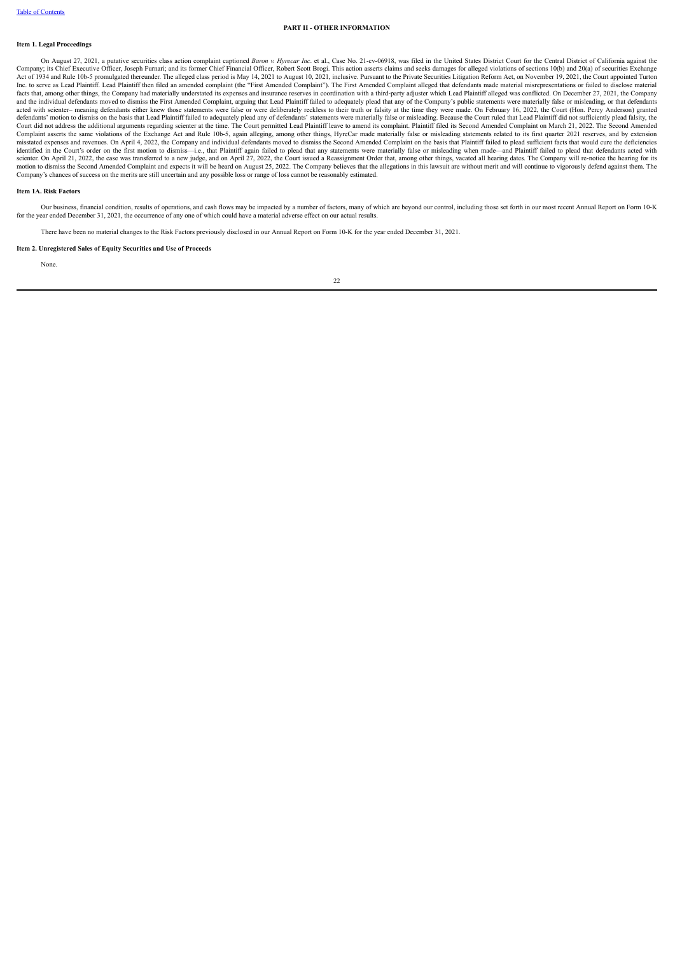#### **PART II - OTHER INFORMATION**

# <span id="page-24-1"></span><span id="page-24-0"></span>**Item 1. Legal Proceedings**

On August 27, 2021, a putative securities class action complaint captioned Baron v. Hyrecar Inc. et al., Case No. 21-cv-06918, was filed in the United States District Court for the Central District of California against th Company; its Chief Executive Officer, Joseph Furnari; and its former Chief Financial Officer, Robert Scott Brogi. This action asserts claims and seeks damages for alleged violations of sections 10(b) and 20(a) of securitie Inc. to serve as Lead Plaintiff. Lead Plaintiff then filed an amended complaint (the "First Amended Complaint"). The First Amended Complaint alleged that defendants made material misrepresentations or failed to disclose ma facts that, among other things, the Company had materially understated its expenses and insurance reserves in coordination with a third-party adjuster which Lead Plaintiff alleged was conflicted. On December 27, 2021, the acted with scienter- meaning defendants either knew those statements were false or were deliberately reckless to their truth or falsity at the time they were made. On February 16, 2022, the Court (Hon. Percy Anderson) gran Court did not address the additional arguments regarding scienter at the time. The Court permitted Lead Plaintiff leave to amend its complaint. Plaintiff filed its Second Amended Complaint on March 21, 2022. The Second Ame Complaint asserts the same violations of the Exchange Act and Rule 10b-5, again alleging, among other things, HyreCar made materially false or misleading statements related to its first quarter 2021 reserves, and by extens misstated expenses and revenues. On April 4, 2022, the Company and individual defendants moved to dismiss the Second Amended Complaint on the basis that Plaintiff failed to plead sufficient facts that would cure the defici Company's chances of success on the merits are still uncertain and any possible loss or range of loss cannot be reasonably estimated.

# <span id="page-24-2"></span>**Item 1A. Risk Factors**

Our business, financial condition, results of operations, and cash flows may be impacted by a number of factors, many of which are beyond our control, including those set forth in our most recent Annual Report on Form 10-K for the year ended December 31, 2021, the occurrence of any one of which could have a material adverse effect on our actual results.

There have been no material changes to the Risk Factors previously disclosed in our Annual Report on Form 10-K for the year ended December 31, 2021.

# <span id="page-24-3"></span>**Item 2. Unregistered Sales of Equity Securities and Use of Proceeds**

None.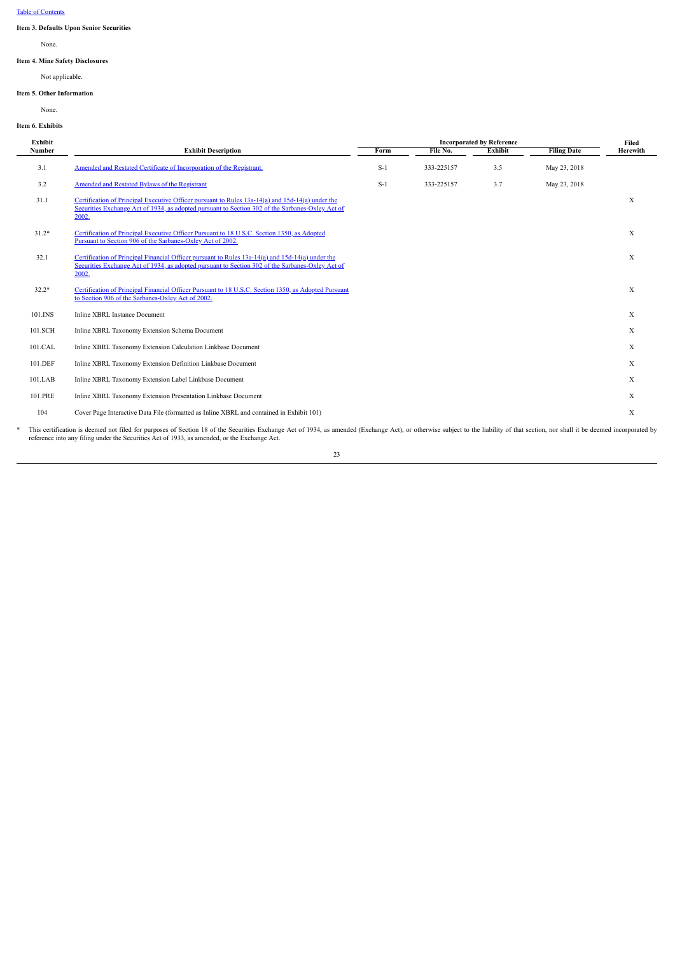# Table of [Contents](#page-1-0)

# <span id="page-25-0"></span>**Item 3. Defaults Upon Senior Securities**

None.

# <span id="page-25-1"></span>**Item 4. Mine Safety Disclosures**

Not applicable.

# <span id="page-25-2"></span>**Item 5. Other Information**

None.

# <span id="page-25-3"></span>**Item 6. Exhibits**

| Exhibit                                                                                                                                                                                                                                                                                                                             |                                                                                                                                                                                                               |       | <b>Incorporated by Reference</b> |                |                    |             |
|-------------------------------------------------------------------------------------------------------------------------------------------------------------------------------------------------------------------------------------------------------------------------------------------------------------------------------------|---------------------------------------------------------------------------------------------------------------------------------------------------------------------------------------------------------------|-------|----------------------------------|----------------|--------------------|-------------|
| Number                                                                                                                                                                                                                                                                                                                              | <b>Exhibit Description</b>                                                                                                                                                                                    | Form  | File No.                         | <b>Exhibit</b> | <b>Filing Date</b> | Herewith    |
| 3.1                                                                                                                                                                                                                                                                                                                                 | Amended and Restated Certificate of Incorporation of the Registrant.                                                                                                                                          | $S-1$ | 333-225157                       | 3.5            | May 23, 2018       |             |
| 3.2                                                                                                                                                                                                                                                                                                                                 | Amended and Restated Bylaws of the Registrant                                                                                                                                                                 | $S-1$ | 333-225157                       | 3.7            | May 23, 2018       |             |
| 31.1                                                                                                                                                                                                                                                                                                                                | Certification of Principal Executive Officer pursuant to Rules 13a-14(a) and 15d-14(a) under the<br>Securities Exchange Act of 1934, as adopted pursuant to Section 302 of the Sarbanes-Oxley Act of<br>2002. |       |                                  |                |                    | X           |
| $31.2*$                                                                                                                                                                                                                                                                                                                             | Certification of Principal Executive Officer Pursuant to 18 U.S.C. Section 1350, as Adopted<br>Pursuant to Section 906 of the Sarbanes-Oxley Act of 2002.                                                     |       |                                  |                |                    | X           |
| 32.1                                                                                                                                                                                                                                                                                                                                | Certification of Principal Financial Officer pursuant to Rules 13a-14(a) and 15d-14(a) under the<br>Securities Exchange Act of 1934, as adopted pursuant to Section 302 of the Sarbanes-Oxley Act of<br>2002. |       |                                  |                |                    | X           |
| $32.2*$                                                                                                                                                                                                                                                                                                                             | Certification of Principal Financial Officer Pursuant to 18 U.S.C. Section 1350, as Adopted Pursuant<br>to Section 906 of the Sarbanes-Oxley Act of 2002.                                                     |       |                                  |                |                    | X           |
| 101.INS                                                                                                                                                                                                                                                                                                                             | Inline XBRL Instance Document                                                                                                                                                                                 |       |                                  |                |                    | X           |
| 101.SCH                                                                                                                                                                                                                                                                                                                             | Inline XBRL Taxonomy Extension Schema Document                                                                                                                                                                |       |                                  |                |                    | X           |
| 101.CAL                                                                                                                                                                                                                                                                                                                             | Inline XBRL Taxonomy Extension Calculation Linkbase Document                                                                                                                                                  |       |                                  |                |                    | $\mathbf X$ |
| 101.DEF                                                                                                                                                                                                                                                                                                                             | Inline XBRL Taxonomy Extension Definition Linkbase Document                                                                                                                                                   |       |                                  |                |                    | X           |
| 101.LAB                                                                                                                                                                                                                                                                                                                             | Inline XBRL Taxonomy Extension Label Linkbase Document                                                                                                                                                        |       |                                  |                |                    | X           |
| 101.PRE                                                                                                                                                                                                                                                                                                                             | Inline XBRL Taxonomy Extension Presentation Linkbase Document                                                                                                                                                 |       |                                  |                |                    | X           |
| 104                                                                                                                                                                                                                                                                                                                                 | Cover Page Interactive Data File (formatted as Inline XBRL and contained in Exhibit 101)                                                                                                                      |       |                                  |                |                    | X           |
| This certification is deemed not filed for purposes of Section 18 of the Securities Exchange Act of 1934, as amended (Exchange Act), or otherwise subject to the liability of that section, nor shall it be deemed incorporate<br>*<br>reference into any filing under the Securities Act of 1933, as amended, or the Exchange Act. |                                                                                                                                                                                                               |       |                                  |                |                    |             |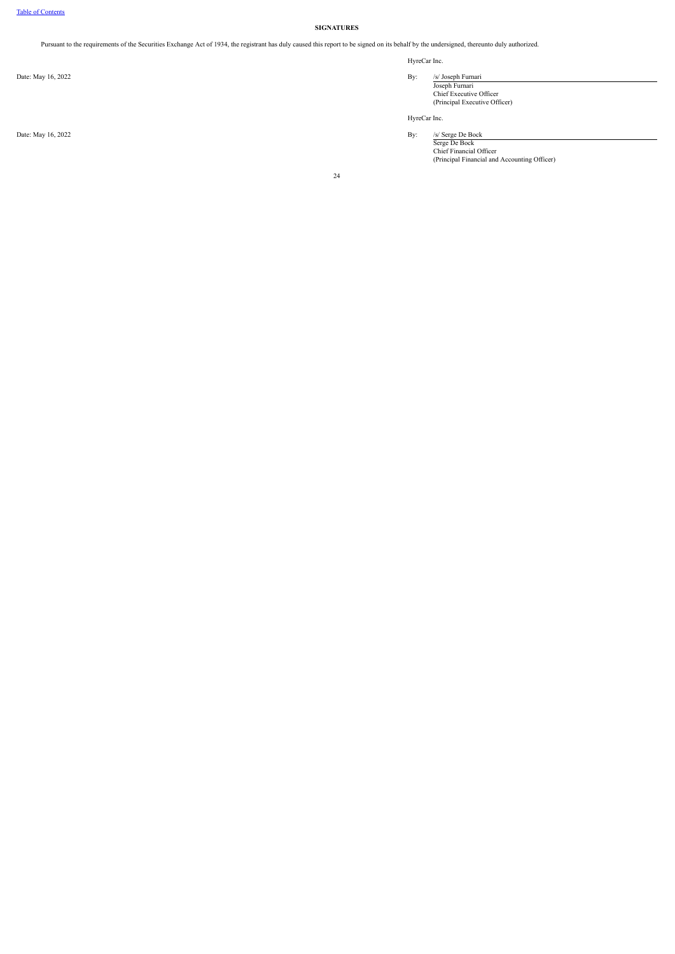# **SIGNATURES**

<span id="page-26-0"></span>Pursuant to the requirements of the Securities Exchange Act of 1934, the registrant has duly caused this report to be signed on its behalf by the undersigned, thereunto duly authorized.

HyreCar Inc.

| Date: May 16, 2022 | By: | /s/ Joseph Furnari            |
|--------------------|-----|-------------------------------|
|                    |     | Joseph Furnari                |
|                    |     | Chief Executive Officer       |
|                    |     | (Principal Executive Officer) |

HyreCar Inc.

Date: May 16, 2022<br>
By: /s/ Serge De Bock<br>
Chief Financial Officer<br>
(Principal Financial and Accounting Officer)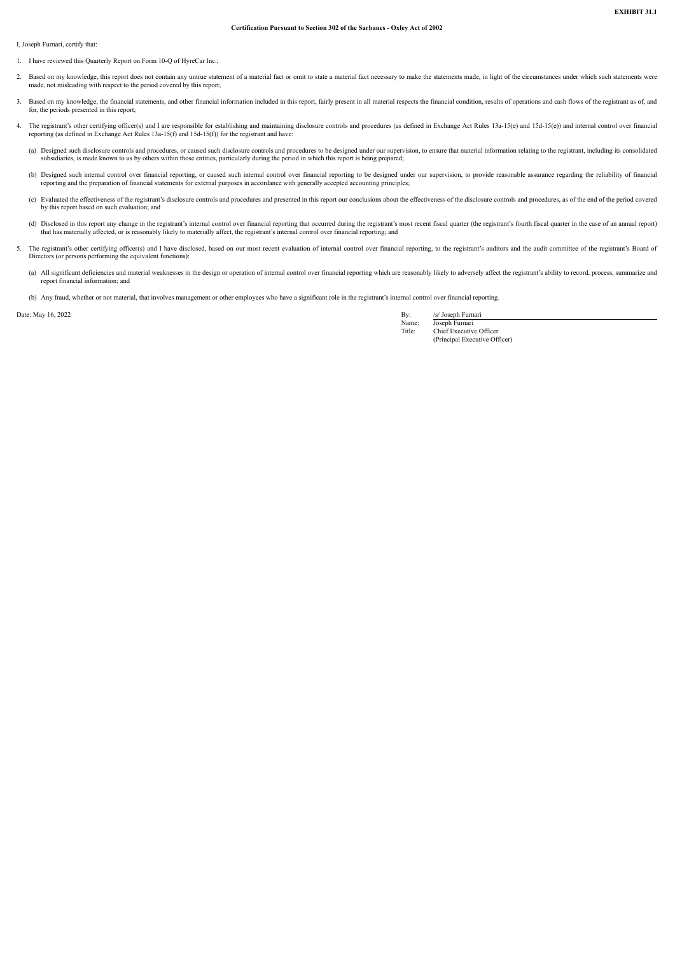<span id="page-27-0"></span>I, Joseph Furnari, certify that:

- 1. I have reviewed this Quarterly Report on Form 10-Q of HyreCar Inc.;
- 2. Based on my knowledge, this report does not contain any untrue statement of a material fact or omit to state a material fact necessary to make the statements made, in light of the circumstances under which such statemen made, not misleading with respect to the period covered by this report;
- 3. Based on my knowledge, the financial statements, and other financial information included in this report, fairly present in all material respects the financial condition, results of operations and cash flows of the regi for, the periods presented in this report;
- 4. The registrant's other certifying officer(s) and I are responsible for establishing and maintaining disclosure controls and procedures (as defined in Exchange Act Rules 13a-15(e) and 15d-15(e)) and internal control over reporting (as defined in Exchange Act Rules 13a-15(f) and 15d-15(f)) for the registrant and have:
	- (a) Designed such disclosure controls and procedures, or caused such disclosure controls and procedures to be designed under our supervision, to ensure that material information relating to the registrant, including its co subsidiaries, is made known to us by others within those entities, particularly during the period in which this report is being prepared;
	- (b) Designed such internal control over financial reporting, or caused such internal control over financial reporting to be designed under our supervision, to provide reasonable assurance regarding the reliability of finan
	- (c) Evaluated the effectiveness of the registrant's disclosure controls and procedures and presented in this report our conclusions about the effectiveness of the disclosure controls and procedures, as of the end of the pe by this report based on such evaluation; and
	- (d) Disclosed in this report any change in the registrant's internal control over financial reporting that occurred during the registrant's most recent fiscal quarter (the registrant's fourth fiscal quarter in the case of
- 5. The registrant's other certifying officer(s) and I have disclosed, based on our most recent evaluation of internal control over financial reporting, to the registrant's auditors and the audit committee of the registrant Directors (or persons performing the equivalent functions):
	- (a) All significant deficiencies and material weaknesses in the design or operation of internal control over financial reporting which are reasonably likely to adversely affect the registrant's ability to record, process, report financial information; and

(b) Any fraud, whether or not material, that involves management or other employees who have a significant role in the registrant's internal control over financial reporting.

Date: May 16, 2022 **By:** /s/ Joseph Furnari

Name: Joseph Furnari<br>Title: Chief Executiv Chief Executive Officer (Principal Executive Officer)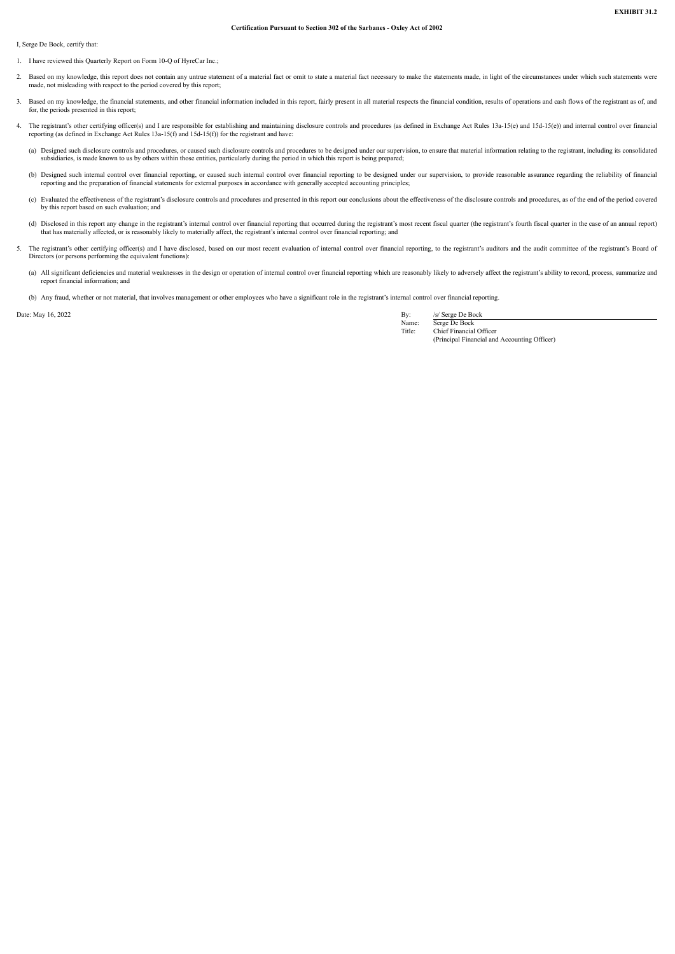<span id="page-28-0"></span>I, Serge De Bock, certify that:

- 1. I have reviewed this Quarterly Report on Form 10-Q of HyreCar Inc.;
- 2. Based on my knowledge, this report does not contain any untrue statement of a material fact or omit to state a material fact necessary to make the statements made, in light of the circumstances under which such statemen made, not misleading with respect to the period covered by this report;
- 3. Based on my knowledge, the financial statements, and other financial information included in this report, fairly present in all material respects the financial condition, results of operations and cash flows of the regi for, the periods presented in this report;
- 4. The registrant's other certifying officer(s) and I are responsible for establishing and maintaining disclosure controls and procedures (as defined in Exchange Act Rules 13a-15(e) and 15d-15(e)) and internal control over reporting (as defined in Exchange Act Rules 13a-15(f) and 15d-15(f)) for the registrant and have:
	- (a) Designed such disclosure controls and procedures, or caused such disclosure controls and procedures to be designed under our supervision, to ensure that material information relating to the registrant, including its co subsidiaries, is made known to us by others within those entities, particularly during the period in which this report is being prepared;
	- (b) Designed such internal control over financial reporting, or caused such internal control over financial reporting to be designed under our supervision, to provide reasonable assurance regarding the reliability of finan
	- (c) Evaluated the effectiveness of the registrant's disclosure controls and procedures and presented in this report our conclusions about the effectiveness of the disclosure controls and procedures, as of the end of the pe by this report based on such evaluation; and
	- (d) Disclosed in this report any change in the registrant's internal control over financial reporting that occurred during the registrant's most recent fiscal quarter (the registrant's fourth fiscal quarter in the case of
- 5. The registrant's other certifying officer(s) and I have disclosed, based on our most recent evaluation of internal control over financial reporting, to the registrant's auditors and the audit committee of the registrant Directors (or persons performing the equivalent functions):
	- (a) All significant deficiencies and material weaknesses in the design or operation of internal control over financial reporting which are reasonably likely to adversely affect the registrant's ability to record, process, report financial information; and

(b) Any fraud, whether or not material, that involves management or other employees who have a significant role in the registrant's internal control over financial reporting.

Date: May 16, 2022 **By:** /s/ Serge De Bock

Name: Serge De Bock<br>Title: Chief Financial

Chief Financial Officer (Principal Financial and Accounting Officer)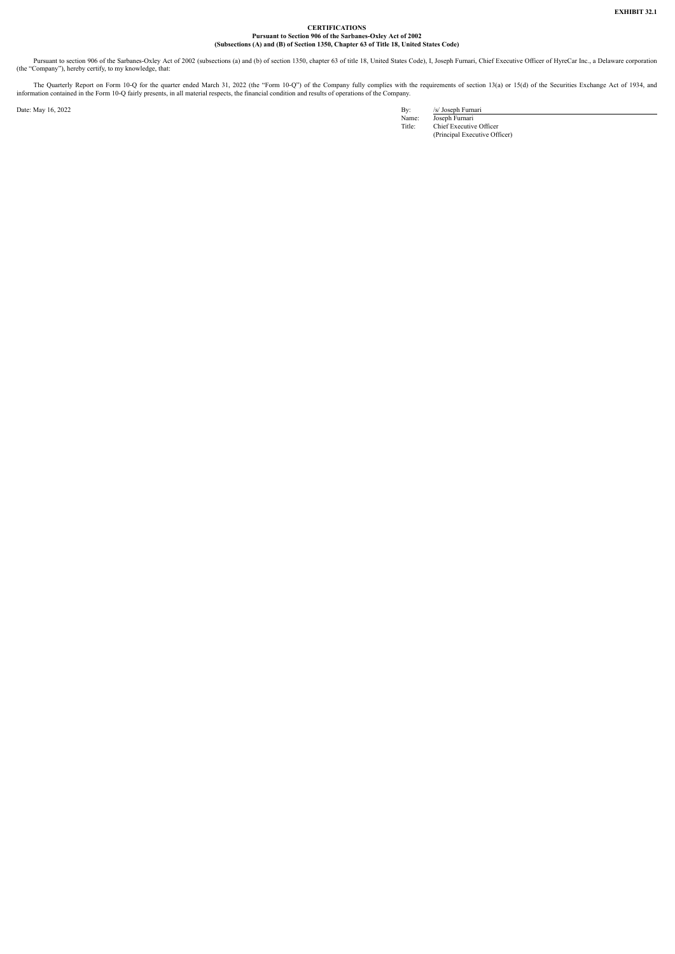# **CERTIFICATIONS Pursuant to Section 906 of the Sarbanes-Oxley Act of 2002 (Subsections (A) and (B) of Section 1350, Chapter 63 of Title 18, United States Code)**

<span id="page-29-0"></span>Pursuant to section 906 of the Sarbanes-Oxley Act of 2002 (subsections (a) and (b) of section 1350, chapter 63 of title 18, United States Code), I, Joseph Furnari, Chief Executive Officer of HyreCar Inc., a Delaware corpor (the "Company"), hereby certify, to my knowledge, that:

The Quarterly Report on Form 10-Q for the quarter ended March 31, 2022 (the "Form 10-Q") of the Company fully complies with the requirements of section 13(a) or 15(d) of the Securities Exchange Act of 1934, and information

Date: May 16, 2022 By: /s/ Joseph Furnarism Furnarism Furnarism Furnarism Furnarism Furnarism Furnarism Furnarism Furnarism Furnarism Furnarism Furnarism Furnarism Furnarism Furnarism Furnarism Furnarism Furnarism Furnaris

By: /s/ Joseph Furnari<br>Name: Joseph Furnari<br>Title: Chief Executive O

Title: Chief Executive Officer (Principal Executive Officer)